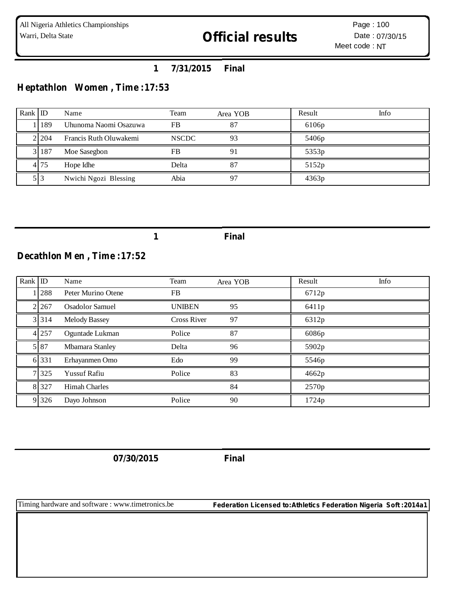## **1 7/31/2015 Final**

# **Heptathlon Women , Time :17:53**

| Rank ID |           | Name                   | Team         | Area YOB | Result            | Info |
|---------|-----------|------------------------|--------------|----------|-------------------|------|
|         | 189       | Uhunoma Naomi Osazuwa  | <b>FB</b>    | 87       | 6106p             |      |
|         | 21204     | Francis Ruth Oluwakemi | <b>NSCDC</b> | 93       | 5406 <sub>p</sub> |      |
|         | 3 1 1 8 7 | Moe Sasegbon           | <b>FB</b>    | 91       | 5353p             |      |
|         | 4 75      | Hope Idhe              | Delta        | 87       | 5152p             |      |
|         |           | Nwichi Ngozi Blessing  | Abia         | 97       | 4363p             |      |

**1 Final**

## **Decathlon Men , Time :17:52**

| Rank ID |         | Name                   | Team               | Area YOB | Result | Info |
|---------|---------|------------------------|--------------------|----------|--------|------|
|         | 288     | Peter Murino Otene     | FB.                |          | 6712p  |      |
|         | 2.267   | <b>Osadolor Samuel</b> | <b>UNIBEN</b>      | 95       | 6411p  |      |
|         | 3 3 1 4 | <b>Melody Bassey</b>   | <b>Cross River</b> | 97       | 6312p  |      |
|         | 4 257   | Oguntade Lukman        | Police             | 87       | 6086p  |      |
|         | 5 87    | Mbamara Stanley        | Delta              | 96       | 5902p  |      |
|         | 6 331   | Erhayanmen Omo         | Edo                | 99       | 5546p  |      |
|         | 7 3 2 5 | <b>Yussuf Rafiu</b>    | Police             | 83       | 4662p  |      |
|         | 8 3 2 7 | <b>Himah Charles</b>   |                    | 84       | 2570p  |      |
|         | 9 3 2 6 | Dayo Johnson           | Police             | 90       | 1724p  |      |

**07/30/2015 Final**

Timing hardware and software : www.timetronics.be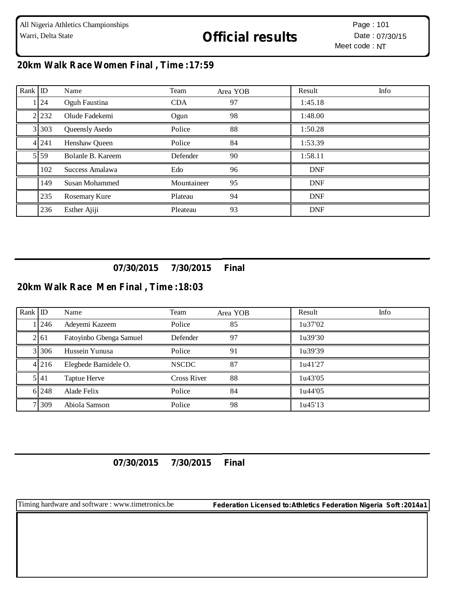# **20km Walk Race Women Final , Time :17:59**

| $Rank$ ID |           | Name              | Team        | Area YOB | Result     | Info |
|-----------|-----------|-------------------|-------------|----------|------------|------|
|           | 1   24    | Oguh Faustina     | <b>CDA</b>  | 97       | 1:45.18    |      |
|           | 2 2 2 3 2 | Olude Fadekemi    | Ogun        | 98       | 1:48.00    |      |
|           | 3 3 0 3   | Queensly Asedo    | Police      | 88       | 1:50.28    |      |
|           | 4 2 4 1   | Henshaw Queen     | Police      | 84       | 1:53.39    |      |
|           | 5 59      | Bolanle B. Kareem | Defender    | 90       | 1:58.11    |      |
|           | 102       | Success Amalawa   | Edo         | 96       | <b>DNF</b> |      |
|           | 149       | Susan Mohammed    | Mountaineer | 95       | <b>DNF</b> |      |
|           | 235       | Rosemary Kure     | Plateau     | 94       | <b>DNF</b> |      |
|           | 236       | Esther Ajiji      | Pleateau    | 93       | <b>DNF</b> |      |

## **07/30/2015 7/30/2015 Final**

#### **20km Walk Race Men Final , Time :18:03**

| Rank ID |           | Name                    | Team               | Area YOB | Result  | Info |
|---------|-----------|-------------------------|--------------------|----------|---------|------|
|         | 1246      | Adeyemi Kazeem          | Police             | 85       | 1u37'02 |      |
|         | 2161      | Fatoyinbo Gbenga Samuel | Defender           | 97       | 1u39'30 |      |
|         | 3 3 3 0 6 | Hussein Yunusa          | Police             | 91       | 1u39'39 |      |
|         | 4 216     | Elegbede Bamidele O.    | <b>NSCDC</b>       | 87       | 1u41'27 |      |
|         | 5141      | Taptue Herve            | <b>Cross River</b> | 88       | 1u43'05 |      |
|         | 6 248     | Alade Felix             | Police             | 84       | 1u44'05 |      |
|         | 7 309     | Abiola Samson           | Police             | 98       | 1u45'13 |      |

### **07/30/2015 7/30/2015 Final**

Timing hardware and software : www.timetronics.be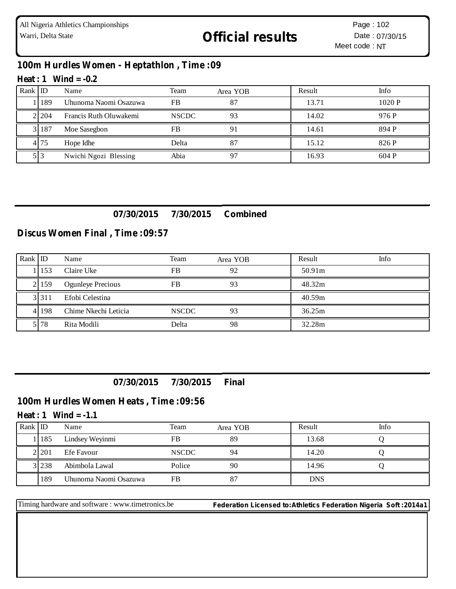## **100m Hurdles Women - Heptathlon , Time :09**

#### **Heat : 1 Wind = -0.2**

| Rank $ $ ID |         | Name                   | Team         | Area YOB | Result | Info  |
|-------------|---------|------------------------|--------------|----------|--------|-------|
|             | 189     | Uhunoma Naomi Osazuwa  | <b>FB</b>    | 87       | 13.71  | 1020P |
|             | 2 2 0 4 | Francis Ruth Oluwakemi | <b>NSCDC</b> | 93       | 14.02  | 976 P |
|             | 3 187   | Moe Sasegbon           | FB           |          | 14.61  | 894 P |
|             | 4.75    | Hope Idhe              | Delta        | 87       | 15.12  | 826 P |
|             | 513     | Nwichi Ngozi Blessing  | Abia         |          | 16.93  | 604 P |

## **07/30/2015 7/30/2015 Combined**

### **Discus Women Final , Time :09:57**

| Rank $ $ ID |           | Name                     | Team         | Area YOB | Result | Info |
|-------------|-----------|--------------------------|--------------|----------|--------|------|
|             | .153      | Claire Uke               | FB           | 92       | 50.91m |      |
|             | 2.159     | <b>Ogunleye Precious</b> | <b>FB</b>    | 93       | 48.32m |      |
|             | 3 3 1 1   | Efobi Celestina          |              |          | 40.59m |      |
|             | 4 1 1 9 8 | Chime Nkechi Leticia     | <b>NSCDC</b> | 93       | 36.25m |      |
|             | 5 78      | Rita Modili              | Delta        | 98       | 32.28m |      |

**07/30/2015 7/30/2015 Final**

### **100m Hurdles Women Heats , Time :09:56**

#### **Heat : 1 Wind = -1.1**

| Rank ID |           | Name                  | Team         | Area YOB | Result     | Info |
|---------|-----------|-----------------------|--------------|----------|------------|------|
|         | 185       | Lindsey Weyinmi       | FB           | 89       | 13.68      |      |
|         | 21201     | Efe Favour            | <b>NSCDC</b> | 94       | 14.20      |      |
|         | 3 2 2 3 8 | Abimbola Lawal        | Police       | 90       | 14.96      |      |
|         | 189       | Uhunoma Naomi Osazuwa | FB           |          | <b>DNS</b> |      |

Timing hardware and software : www.timetronics.be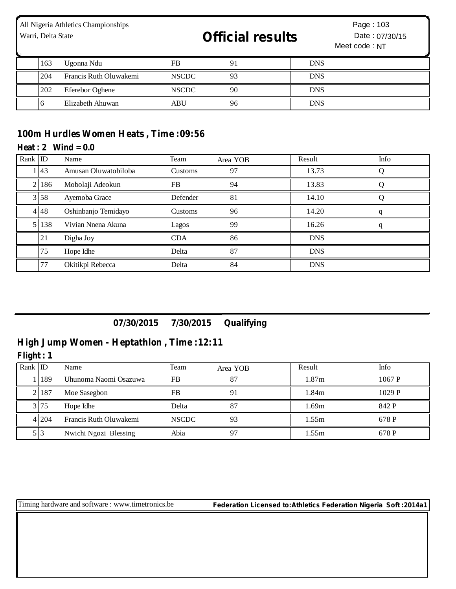| All Nigeria Athletics Championships<br>Warri, Delta State |     |                        | <b>Official results</b> |    | Page: 103<br>Date: 07/30/15<br>Meet code: NT |  |  |
|-----------------------------------------------------------|-----|------------------------|-------------------------|----|----------------------------------------------|--|--|
|                                                           | 163 | Ugonna Ndu             | FB                      | 91 | <b>DNS</b>                                   |  |  |
|                                                           | 204 | Francis Ruth Oluwakemi | <b>NSCDC</b>            | 93 | <b>DNS</b>                                   |  |  |
|                                                           | 202 | Eferebor Oghene        | <b>NSCDC</b>            | 90 | <b>DNS</b>                                   |  |  |
|                                                           | 6   | Elizabeth Ahuwan       | <b>ABU</b>              | 96 | <b>DNS</b>                                   |  |  |

## **100m Hurdles Women Heats , Time :09:56**

#### $Heat: 2$   $Wind = 0.0$

| Rank ID |                  | Name                 | Team       | Area YOB | Result     | Info |
|---------|------------------|----------------------|------------|----------|------------|------|
|         | $\overline{143}$ | Amusan Oluwatobiloba | Customs    | 97       | 13.73      |      |
|         | 186              | Mobolaji Adeokun     | <b>FB</b>  | 94       | 13.83      |      |
|         | 3 58             | Ayemoba Grace        | Defender   | 81       | 14.10      |      |
|         | 4 4 4 8          | Oshinbanjo Temidayo  | Customs    | 96       | 14.20      |      |
|         | 138              | Vivian Nnena Akuna   | Lagos      | 99       | 16.26      |      |
|         | 21               | Digha Joy            | <b>CDA</b> | 86       | <b>DNS</b> |      |
|         | 75               | Hope Idhe            | Delta      | 87       | <b>DNS</b> |      |
|         | 77               | Okitikpi Rebecca     | Delta      | 84       | <b>DNS</b> |      |

## **07/30/2015 7/30/2015 Qualifying**

## **High Jump Women - Heptathlon , Time :12:11**

**Flight : 1**

| Rank $ID$ |       | Name                   | Team         | Area YOB | Result | Info   |
|-----------|-------|------------------------|--------------|----------|--------|--------|
|           | 189   | Uhunoma Naomi Osazuwa  | FB           | 87       | 1.87m  | 1067 P |
|           | 2 187 | Moe Sasegbon           | FB           | 91       | 1.84m  | 1029P  |
|           | 3175  | Hope Idhe              | Delta        | 87       | 1.69m  | 842 P  |
|           | 41204 | Francis Ruth Oluwakemi | <b>NSCDC</b> | 93       | 1.55m  | 678 P  |
|           |       | Nwichi Ngozi Blessing  | Abia         | 97       | 1.55m  | 678 P  |

Timing hardware and software : www.timetronics.be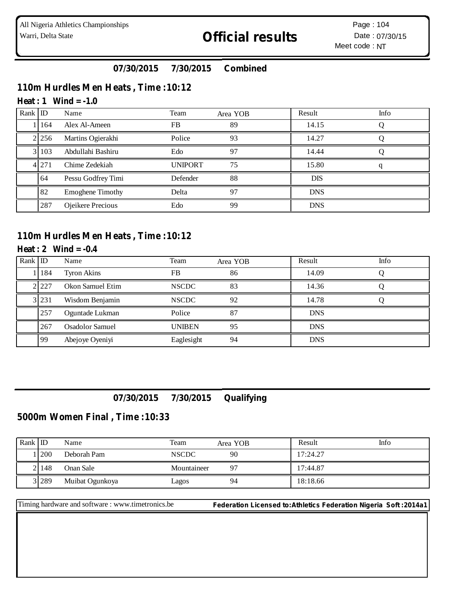## **07/30/2015 7/30/2015 Combined**

## **110m Hurdles Men Heats , Time :10:12**

#### **Heat : 1 Wind = -1.0**

| Rank ID |         | Name                    | Team           | Area YOB | Result     | Info |
|---------|---------|-------------------------|----------------|----------|------------|------|
|         | 164     | Alex Al-Ameen           | <b>FB</b>      | 89       | 14.15      |      |
|         | 2 2 5 6 | Martins Ogierakhi       | Police         | 93       | 14.27      |      |
|         | 103     | Abdullahi Bashiru       | Edo            | 97       | 14.44      |      |
|         | 4 2 7 1 | Chime Zedekiah          | <b>UNIPORT</b> | 75       | 15.80      |      |
|         | 64      | Pessu Godfrey Timi      | Defender       | 88       | <b>DIS</b> |      |
|         | 82      | <b>Emoghene Timothy</b> | Delta          | 97       | <b>DNS</b> |      |
|         | 287     | Ojeikere Precious       | Edo            | 99       | <b>DNS</b> |      |

#### **110m Hurdles Men Heats , Time :10:12**

#### **Heat : 2 Wind = -0.4**

| Rank ID |         | Name                   | Team          | Area YOB | Result     | Info |
|---------|---------|------------------------|---------------|----------|------------|------|
|         | 184     | <b>Tyron Akins</b>     | FB            | 86       | 14.09      |      |
|         | 2.227   | Okon Samuel Etim       | <b>NSCDC</b>  | 83       | 14.36      |      |
|         | 3 2 3 1 | Wisdom Benjamin        | <b>NSCDC</b>  | 92       | 14.78      |      |
|         | 257     | Oguntade Lukman        | Police        | 87       | <b>DNS</b> |      |
|         | 267     | <b>Osadolor Samuel</b> | <b>UNIBEN</b> | 95       | <b>DNS</b> |      |
|         | 99      | Abejoye Oyeniyi        | Eaglesight    | 94       | <b>DNS</b> |      |

## **07/30/2015 7/30/2015 Qualifying**

#### **5000m Women Final , Time :10:33**

| Rank $ $ ID |                | Name            | Team         | Area YOB | Result   | Info |
|-------------|----------------|-----------------|--------------|----------|----------|------|
|             | <sup>200</sup> | Deborah Pam     | <b>NSCDC</b> | 90       | 17:24.27 |      |
|             | 2 148          | Onan Sale       | Mountaineer  |          | 17:44.87 |      |
|             | 3 2 8 9        | Muibat Ogunkoya | Lagos        | 94       | 18:18.66 |      |

Timing hardware and software : www.timetronics.be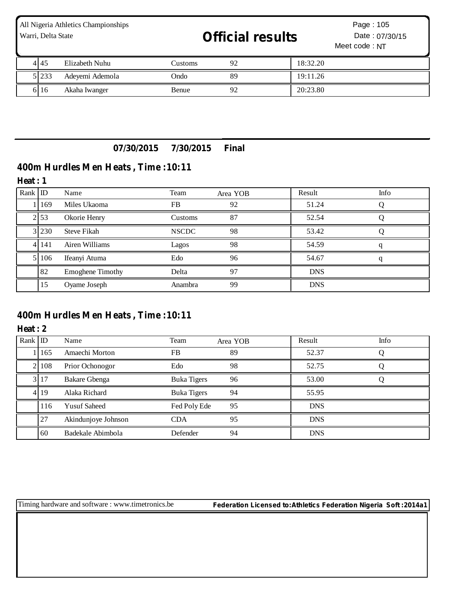| All Nigeria Athletics Championships<br>Warri, Delta State |       |                 | <b>Official results</b> | Page: 105<br>Date: 07/30/15<br>Meet code: NT |          |  |
|-----------------------------------------------------------|-------|-----------------|-------------------------|----------------------------------------------|----------|--|
|                                                           | 4145  | Elizabeth Nuhu  | <b>Customs</b>          | 92                                           | 18:32.20 |  |
|                                                           | 5 233 | Adeyemi Ademola | Ondo                    | 89                                           | 19:11.26 |  |
|                                                           | 6 16  | Akaha Iwanger   | Benue                   | 92                                           | 20:23.80 |  |

## **07/30/2015 7/30/2015 Final**

# **400m Hurdles Men Heats , Time :10:11**

#### **Heat : 1**

| Rank ID |           | Name                    | Team         | Area YOB | Result     | Info |
|---------|-----------|-------------------------|--------------|----------|------------|------|
|         | 169       | Miles Ukaoma            | <b>FB</b>    | 92       | 51.24      |      |
|         | 2 53      | Okorie Henry            | Customs      | 87       | 52.54      |      |
|         | 3 230     | <b>Steve Fikah</b>      | <b>NSCDC</b> | 98       | 53.42      |      |
|         | 4 14 14 1 | Airen Williams          | Lagos        | 98       | 54.59      |      |
|         | 106       | Ifeanyi Atuma           | Edo          | 96       | 54.67      |      |
|         | 82        | <b>Emoghene Timothy</b> | Delta        | 97       | <b>DNS</b> |      |
|         | 15        | Oyame Joseph            | Anambra      | 99       | <b>DNS</b> |      |

## **400m Hurdles Men Heats , Time :10:11**

#### **Heat : 2**

| Rank ID |         | Name                 | Team               | Area YOB | Result     | Info |
|---------|---------|----------------------|--------------------|----------|------------|------|
|         | 1165    | Amaechi Morton       | FB                 | 89       | 52.37      |      |
|         | 2 1 0 8 | Prior Ochonogor      | Edo                | 98       | 52.75      |      |
|         | 3 17    | <b>Bakare Gbenga</b> | Buka Tigers        | 96       | 53.00      |      |
|         | 4 19    | Alaka Richard        | <b>Buka Tigers</b> | 94       | 55.95      |      |
|         | 116     | <b>Yusuf Saheed</b>  | Fed Poly Ede       | 95       | <b>DNS</b> |      |
|         | 27      | Akindunjoye Johnson  | <b>CDA</b>         | 95       | <b>DNS</b> |      |
|         | 60      | Badekale Abimbola    | Defender           | 94       | <b>DNS</b> |      |

Timing hardware and software : www.timetronics.be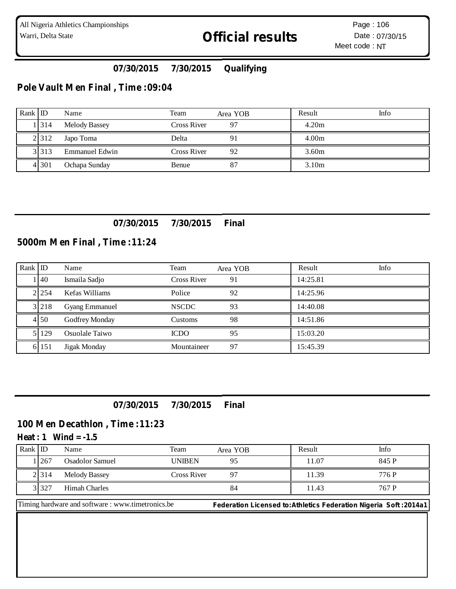## **07/30/2015 7/30/2015 Qualifying**

### **Pole Vault Men Final , Time :09:04**

| $Rank$ ID |         | Name                  | Team        | Area YOB | Result            | Info |
|-----------|---------|-----------------------|-------------|----------|-------------------|------|
|           | 1314    | <b>Melody Bassey</b>  | Cross River | 97       | 4.20m             |      |
|           | 21312   | Japo Toma             | Delta       | 91       | 4.00 <sub>m</sub> |      |
|           | 3 3 1 3 | <b>Emmanuel Edwin</b> | Cross River | 92       | 3.60 <sub>m</sub> |      |
|           | 4 3 0 1 | Ochapa Sunday         | Benue       | 87       | 3.10 <sub>m</sub> |      |

#### **07/30/2015 7/30/2015 Final**

## **5000m Men Final , Time :11:24**

| Rank $ $ ID |                  | Name                  | Team         | Area YOB | Result   | Info |
|-------------|------------------|-----------------------|--------------|----------|----------|------|
|             | $\overline{140}$ | Ismaila Sadjo         | Cross River  | 91       | 14:25.81 |      |
|             | 21254            | Kefas Williams        | Police       | 92       | 14:25.96 |      |
|             | 3 2 1 8          | <b>Gyang Emmanuel</b> | <b>NSCDC</b> | 93       | 14:40.08 |      |
|             | 4 50             | Godfrey Monday        | Customs      | 98       | 14:51.86 |      |
|             | 129              | Osuolale Taiwo        | <b>ICDO</b>  | 95       | 15:03.20 |      |
|             | 6 151            | Jigak Monday          | Mountaineer  | 97       | 15:45.39 |      |

#### **07/30/2015 7/30/2015 Final**

#### **100 Men Decathlon , Time :11:23**

#### **Heat : 1 Wind = -1.5**

| Rank ID |                | Name            | Team          | Area YOB | Result | Info  |
|---------|----------------|-----------------|---------------|----------|--------|-------|
|         | <sup>267</sup> | Osadolor Samuel | <b>UNIBEN</b> | 95       | 11.07  | 845 P |
|         | 2 3 1 4        | Melody Bassey   | Cross River   |          | 11.39  | 776 P |
|         | 3 3 2 7        | Himah Charles   |               | 84       | 11.43  | 767 P |

Timing hardware and software : www.timetronics.be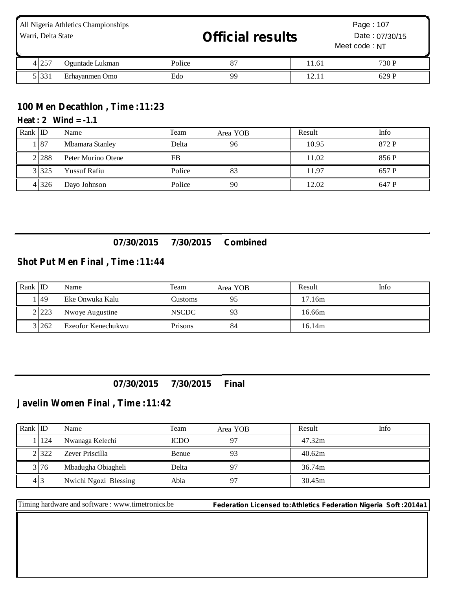| All Nigeria Athletics Championships<br>Warri, Delta State |         |                 |        | <b>Official results</b> |       | Page: 107<br>Date: 07/30/15<br>Meet code: NT |  |
|-----------------------------------------------------------|---------|-----------------|--------|-------------------------|-------|----------------------------------------------|--|
|                                                           | 4 2 5 7 | Oguntade Lukman | Police | 87                      | 11.61 | 730 P                                        |  |
|                                                           | 5 3 3 1 | Erhayanmen Omo  | Edo    | 99                      | 12.11 | 629 P                                        |  |

## **100 Men Decathlon , Time :11:23**

#### **Heat : 2 Wind = -1.1**

| Rank $ D $ |         | Name                | Team      | Area YOB | Result | Info  |
|------------|---------|---------------------|-----------|----------|--------|-------|
|            | . 187   | Mbamara Stanley     | Delta     | 96       | 10.95  | 872 P |
|            | 2288    | Peter Murino Otene  | <b>FB</b> |          | 11.02  | 856 P |
|            | 3 3 2 5 | <b>Yussuf Rafiu</b> | Police    | 83       | 11.97  | 657 P |
|            | 4 3 2 6 | Dayo Johnson        | Police    | 90       | 12.02  | 647 P |

## **07/30/2015 7/30/2015 Combined**

#### **Shot Put Men Final , Time :11:44**

| Rank ID |         | Name               | Team         | Area YOB | Result | Info |
|---------|---------|--------------------|--------------|----------|--------|------|
|         | 149     | Eke Onwuka Kalu    | Customs      |          | 17.16m |      |
|         | 2 2 2 3 | Nwoye Augustine    | <b>NSCDC</b> |          | 16.66m |      |
|         | 3 262   | Ezeofor Kenechukwu | Prisons      | 84       | 16.14m |      |

### **07/30/2015 7/30/2015 Final**

## **Javelin Women Final , Time :11:42**

| Rank ID |         | Name                  | Team         | Area YOB | Result | Info |
|---------|---------|-----------------------|--------------|----------|--------|------|
|         | 11124   | Nwanaga Kelechi       | <b>ICDO</b>  | റ7       | 47.32m |      |
|         | 2 3 2 2 | Zever Priscilla       | <b>Benue</b> | 93       | 40.62m |      |
|         | 3 76    | Mbadugha Obiagheli    | Delta        |          | 36.74m |      |
|         | 413     | Nwichi Ngozi Blessing | Abia         |          | 30.45m |      |

Timing hardware and software : www.timetronics.be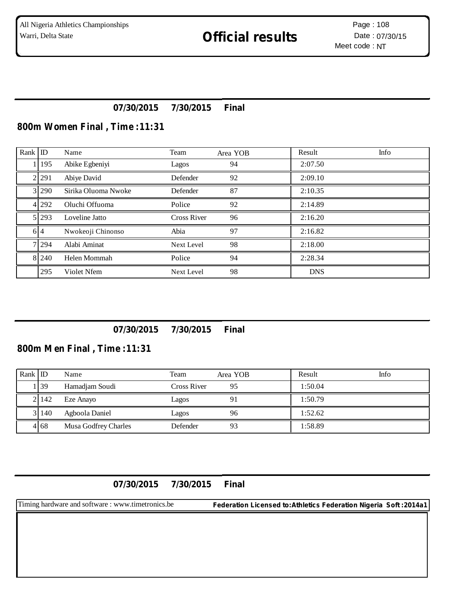## **07/30/2015 7/30/2015 Final**

#### **800m Women Final , Time :11:31**

| Rank ID |         | Name                | Team               | Area YOB | Result     | Info |
|---------|---------|---------------------|--------------------|----------|------------|------|
|         | 1   195 | Abike Egbeniyi      | Lagos              | 94       | 2:07.50    |      |
|         | 2 2 9 1 | Abiye David         | Defender           | 92       | 2:09.10    |      |
|         | 3 290   | Sirika Oluoma Nwoke | Defender           | 87       | 2:10.35    |      |
|         | 4 292   | Oluchi Offuoma      | Police             | 92       | 2:14.89    |      |
|         | 5 2 9 3 | Loveline Jatto      | <b>Cross River</b> | 96       | 2:16.20    |      |
|         | 6 4     | Nwokeoji Chinonso   | Abia               | 97       | 2:16.82    |      |
|         | 7 2 9 4 | Alabi Aminat        | Next Level         | 98       | 2:18.00    |      |
|         | 8 2 4 0 | Helen Mommah        | Police             | 94       | 2:28.34    |      |
|         | 295     | Violet Nfem         | Next Level         | 98       | <b>DNS</b> |      |

### **07/30/2015 7/30/2015 Final**

## **800m Men Final , Time :11:31**

| Rank ID |         | Name                 | Team        | Area YOB | Result  | Info |
|---------|---------|----------------------|-------------|----------|---------|------|
|         | . 39    | Hamadjam Soudi       | Cross River | 95       | 1:50.04 |      |
|         | 2 142   | Eze Anayo            | Lagos       |          | 1:50.79 |      |
|         | 3 1 4 0 | Agboola Daniel       | Lagos       | 96       | 1:52.62 |      |
|         | 4 68    | Musa Godfrey Charles | Defender    | 93       | 1:58.89 |      |

**07/30/2015 7/30/2015 Final**

Timing hardware and software : www.timetronics.be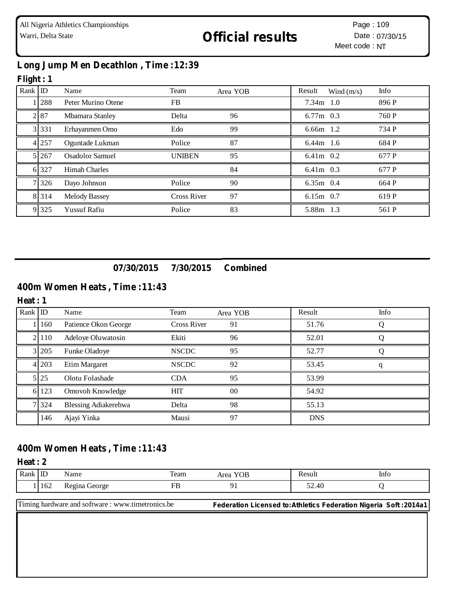## **Long Jump Men Decathlon , Time :12:39**

### **Flight : 1**

| Rank $ $ ID |             | Name                   | Team               | Area YOB | Result      | Wind $(m/s)$ | Info  |
|-------------|-------------|------------------------|--------------------|----------|-------------|--------------|-------|
|             | <b>1288</b> | Peter Murino Otene     | FB.                |          | $7.34m$ 1.0 |              | 896 P |
|             | 2 87        | Mbamara Stanley        | Delta              | 96       | $6.77m$ 0.3 |              | 760 P |
|             | 3 3 3 1     | Erhayanmen Omo         | Edo                | 99       | $6.66m$ 1.2 |              | 734 P |
|             | 4 257       | Oguntade Lukman        | Police             | 87       | $6.44m$ 1.6 |              | 684 P |
|             | 5 2 6 7     | <b>Osadolor Samuel</b> | <b>UNIBEN</b>      | 95       | $6.41m$ 0.2 |              | 677 P |
|             | 6 327       | <b>Himah Charles</b>   |                    | 84       | $6.41m$ 0.3 |              | 677 P |
|             | 7 326       | Dayo Johnson           | Police             | 90       | 6.35m 0.4   |              | 664 P |
|             | 8 3 1 4     | <b>Melody Bassey</b>   | <b>Cross River</b> | 97       | $6.15m$ 0.7 |              | 619 P |
|             | 9 3 2 5     | <b>Yussuf Rafiu</b>    | Police             | 83       | 5.88m 1.3   |              | 561 P |

**07/30/2015 7/30/2015 Combined**

## **400m Women Heats , Time :11:43**

#### **Heat : 1**

| Rank ID |         | Name                 | Team               | Area YOB | Result     | Info |
|---------|---------|----------------------|--------------------|----------|------------|------|
|         | 160     | Patience Okon George | <b>Cross River</b> | 91       | 51.76      |      |
|         | 2 110   | Adeloye Oluwatosin   | Ekiti              | 96       | 52.01      |      |
|         | 3 2 0 5 | Funke Oladoye        | <b>NSCDC</b>       | 95       | 52.77      |      |
|         | 4 203   | Etim Margaret        | <b>NSCDC</b>       | 92       | 53.45      |      |
|         | 5 25    | Olotu Folashade      | <b>CDA</b>         | 95       | 53.99      |      |
|         | 6 123   | Omovoh Knowledge     | <b>HIT</b>         | 00       | 54.92      |      |
|         | 7 3 2 4 | Blessing Adiakerehwa | Delta              | 98       | 55.13      |      |
|         | 146     | Ajayi Yinka          | Mausi              | 97       | <b>DNS</b> |      |

### **400m Women Heats , Time :11:43**

#### **Heat : 2**

| Rank | ᅭ   | $\sim$ $\sim$<br>Name                                | Team                           | YOB<br>∖rog | יימר<br>resui            | $\sim$<br>Info |
|------|-----|------------------------------------------------------|--------------------------------|-------------|--------------------------|----------------|
|      | 162 | George<br><b>1100</b><br>∡ilia ⊺<br>$\sim$<br>ັ<br>ັ | --<br>$\overline{\phantom{0}}$ |             | $-\sim$<br>52.40<br>____ |                |

Timing hardware and software : www.timetronics.be **Federation Licensed to:Athletics Federation Nigeria Soft :2014a1**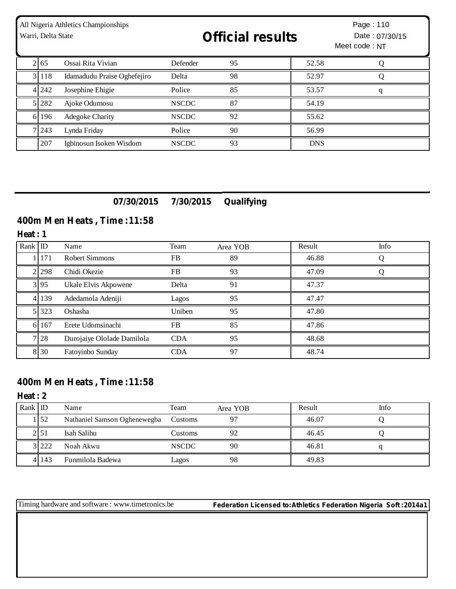| All Nigeria Athletics Championships<br>Warri, Delta State |             |                             | <b>Official results</b> |    |            | Page: 110<br>Date: 07/30/15<br>Meet code: NT |  |
|-----------------------------------------------------------|-------------|-----------------------------|-------------------------|----|------------|----------------------------------------------|--|
|                                                           | $2\vert 65$ | Ossai Rita Vivian           | Defender                | 95 | 52.58      |                                              |  |
|                                                           | 3 118       | Idamadudu Praise Oghefejiro | Delta                   | 98 | 52.97      |                                              |  |
|                                                           | 4 2 4 2     | Josephine Ehigie            | Police                  | 85 | 53.57      | q                                            |  |
|                                                           | 5 282       | Ajoke Odumosu               | <b>NSCDC</b>            | 87 | 54.19      |                                              |  |
| 6 <sup>1</sup>                                            | 196         | <b>Adegoke Charity</b>      | <b>NSCDC</b>            | 92 | 55.62      |                                              |  |
|                                                           | 7 2 4 3     | Lynda Friday                | Police                  | 90 | 56.99      |                                              |  |
|                                                           | 207         | Igbinosun Isoken Wisdom     | <b>NSCDC</b>            | 93 | <b>DNS</b> |                                              |  |

## **07/30/2015 7/30/2015 Qualifying**

## **400m Men Heats , Time :11:58**

**Heat : 1**

| Rank $ID$ |           | Name                       | Team       | Area YOB | Result | Info |
|-----------|-----------|----------------------------|------------|----------|--------|------|
|           | 171       | Robert Simmons             | <b>FB</b>  | 89       | 46.88  | O    |
|           | 2 2 2 3 8 | Chidi Okezie               | FB         | 93       | 47.09  |      |
|           | 3 9 5     | Ukale Elvis Akpowene       | Delta      | 91       | 47.37  |      |
|           | 4 139     | Adedamola Adeniji          | Lagos      | 95       | 47.47  |      |
|           | 5 323     | Oshasha                    | Uniben     | 95       | 47.80  |      |
| 6I        | 167       | Erete Udomsinachi          | FB         | 85       | 47.86  |      |
|           | 7 28      | Durojaiye Ololade Damilola | <b>CDA</b> | 95       | 48.68  |      |
|           | 8 30      | Fatoyinbo Sunday           | <b>CDA</b> | 97       | 48.74  |      |

# **400m Men Heats , Time :11:58**

**Heat : 2**

| Rank ID |           | Name                         | Team         | Area YOB | Result | Info |
|---------|-----------|------------------------------|--------------|----------|--------|------|
|         | 152       | Nathaniel Samson Oghenewegba | Customs      | 97       | 46.07  |      |
|         | :151      | Isah Salihu                  | Customs      | 92       | 46.45  |      |
|         | 3 222     | Noah Akwu                    | <b>NSCDC</b> | 90       | 46.81  |      |
|         | 4 1 1 4 3 | Funmilola Badewa             | Lagos        | 98       | 49.83  |      |

Timing hardware and software : www.timetronics.be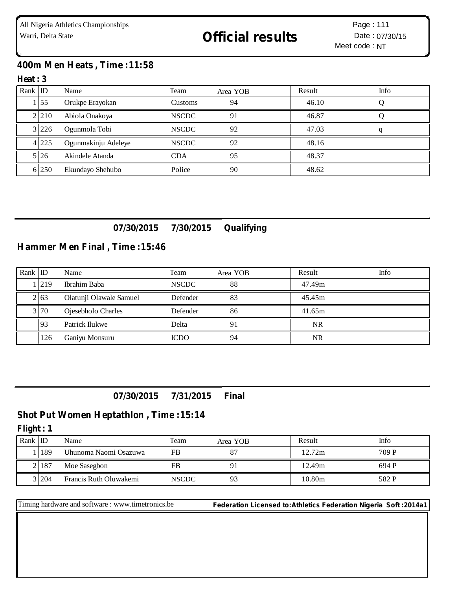## **400m Men Heats , Time :11:58**

#### **Heat : 3**

| $Rank$ ID |           | Name                | Team           | Area YOB | Result | Info |
|-----------|-----------|---------------------|----------------|----------|--------|------|
|           | 155       | Orukpe Erayokan     | <b>Customs</b> | 94       | 46.10  |      |
|           | 2 2 1 0   | Abiola Onakoya      | <b>NSCDC</b>   | 91       | 46.87  |      |
|           | 3 2 2 2 6 | Ogunmola Tobi       | <b>NSCDC</b>   | 92       | 47.03  |      |
|           | 4 2 2 5   | Ogunmakinju Adeleye | <b>NSCDC</b>   | 92       | 48.16  |      |
|           | 5 26      | Akindele Atanda     | <b>CDA</b>     | 95       | 48.37  |      |
|           | 6 250     | Ekundayo Shehubo    | Police         | 90       | 48.62  |      |

## **07/30/2015 7/30/2015 Qualifying**

## **Hammer Men Final , Time :15:46**

| Rank ID |       | Name                    | Team         | Area YOB | Result | Info |
|---------|-------|-------------------------|--------------|----------|--------|------|
|         | 11219 | Ibrahim Baba            | <b>NSCDC</b> | 88       | 47.49m |      |
|         | 2.63  | Olatunji Olawale Samuel | Defender     | 83       | 45.45m |      |
|         | 3 70  | Ojesebholo Charles      | Defender     | 86       | 41.65m |      |
|         | 93    | Patrick Ilukwe          | Delta        | 91       | NR     |      |
|         | 126   | Ganiyu Monsuru          | <b>ICDO</b>  | 94       | NR     |      |

## **07/30/2015 7/31/2015 Final**

## **Shot Put Women Heptathlon , Time :15:14**

#### **Flight : 1**

| Rank I ID |       | Name                   | Team  | Area YOB | Result | Info  |
|-----------|-------|------------------------|-------|----------|--------|-------|
|           | 189   | Uhunoma Naomi Osazuwa  | FB    |          | 12.72m | 709 P |
|           | 2187  | Moe Sasegbon           | FB    |          | 12.49m | 694 P |
|           | 3 204 | Francis Ruth Oluwakemi | NSCDC | 93       | 10.80m | 582 P |

Timing hardware and software : www.timetronics.be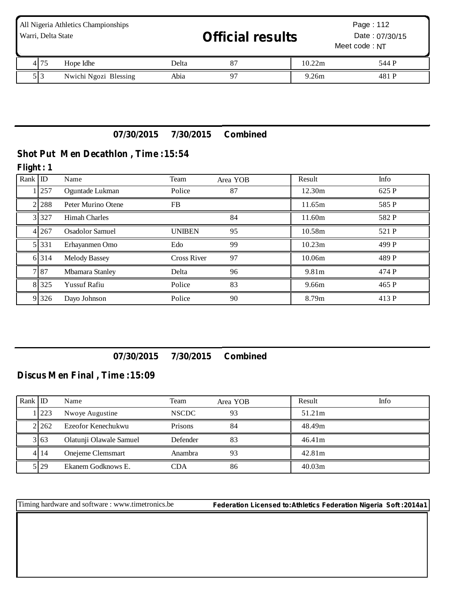| All Nigeria Athletics Championships<br>Warri, Delta State |                       |       | <b>Official results</b> |        | Page: 112<br>Date: 07/30/15<br>Meet code: NT |  |
|-----------------------------------------------------------|-----------------------|-------|-------------------------|--------|----------------------------------------------|--|
| 4 75                                                      | Hope Idhe             | Delta | 87                      | 10.22m | 544 P                                        |  |
| 513                                                       | Nwichi Ngozi Blessing | Abia  |                         | 9.26m  | 481 P                                        |  |

## **07/30/2015 7/30/2015 Combined**

## **Shot Put Men Decathlon , Time :15:54**

#### **Flight : 1**

| Rank ID |         | Name                   | Team               | Area YOB | Result | Info  |
|---------|---------|------------------------|--------------------|----------|--------|-------|
|         | 1 257   | Oguntade Lukman        | Police             | 87       | 12.30m | 625 P |
|         | 2 2 8 8 | Peter Murino Otene     | FB.                |          | 11.65m | 585 P |
|         | 3 3 2 7 | <b>Himah Charles</b>   |                    | 84       | 11.60m | 582 P |
|         | 4 2 6 7 | <b>Osadolor Samuel</b> | <b>UNIBEN</b>      | 95       | 10.58m | 521 P |
|         | 5 331   | Erhayanmen Omo         | Edo                | 99       | 10.23m | 499 P |
|         | 6 3 1 4 | <b>Melody Bassey</b>   | <b>Cross River</b> | 97       | 10.06m | 489 P |
|         | 787     | Mbamara Stanley        | Delta              | 96       | 9.81m  | 474 P |
|         | 8 3 2 5 | <b>Yussuf Rafiu</b>    | Police             | 83       | 9.66m  | 465 P |
|         | 9 3 2 6 | Dayo Johnson           | Police             | 90       | 8.79m  | 413 P |

## **07/30/2015 7/30/2015 Combined**

## **Discus Men Final , Time :15:09**

| Rank ID |       | Name                    | Team         | Area YOB | Result | Info |
|---------|-------|-------------------------|--------------|----------|--------|------|
|         | 1223  | Nwoye Augustine         | <b>NSCDC</b> | 93       | 51.21m |      |
|         | 2.262 | Ezeofor Kenechukwu      | Prisons      | 84       | 48.49m |      |
|         | 3 63  | Olatunji Olawale Samuel | Defender     | 83       | 46.41m |      |
|         | 4114  | Onejeme Clemsmart       | Anambra      | 93       | 42.81m |      |
|         | 5 29  | Ekanem Godknows E.      | CDA          | 86       | 40.03m |      |

Timing hardware and software : www.timetronics.be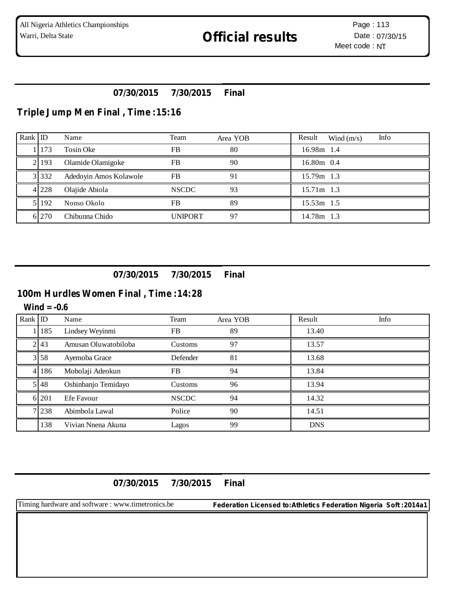## **07/30/2015 7/30/2015 Final**

## **Triple Jump Men Final , Time :15:16**

| Rank ID |                | Name                   | Team           | Area YOB | Info<br>Result<br>Wind $(m/s)$ |
|---------|----------------|------------------------|----------------|----------|--------------------------------|
|         | <sup>173</sup> | Tosin Oke              | FB             | 80       | 16.98m 1.4                     |
|         | 2193           | Olamide Olamigoke      | FB             | 90       | $16.80m$ 0.4                   |
|         | 3 3 3 2        | Adedoyin Amos Kolawole | <b>FB</b>      | 91       | 15.79m 1.3                     |
|         | 4 2 2 8        | Olajide Abiola         | <b>NSCDC</b>   | 93       | 15.71m 1.3                     |
|         | 5192           | Nonso Okolo            | FB             | 89       | 15.53m 1.5                     |
|         | 6 270          | Chibunna Chido         | <b>UNIPORT</b> | 97       | 14.78m 1.3                     |

## **07/30/2015 7/30/2015 Final**

# **100m Hurdles Women Final , Time :14:28**

#### **Wind = -0.6**

| Rank ID |         | Name                 | Team           | Area YOB | Result     | Info |
|---------|---------|----------------------|----------------|----------|------------|------|
|         | 1   185 | Lindsey Weyinmi      | <b>FB</b>      | 89       | 13.40      |      |
|         | 2 43    | Amusan Oluwatobiloba | <b>Customs</b> | 97       | 13.57      |      |
|         | 3 5 8   | Ayemoba Grace        | Defender       | 81       | 13.68      |      |
|         | 4 1 8 6 | Mobolaji Adeokun     | <b>FB</b>      | 94       | 13.84      |      |
|         | 5.48    | Oshinbanjo Temidayo  | Customs        | 96       | 13.94      |      |
|         | 6 201   | Efe Favour           | <b>NSCDC</b>   | 94       | 14.32      |      |
|         | 7 238   | Abimbola Lawal       | Police         | 90       | 14.51      |      |
|         | 138     | Vivian Nnena Akuna   | Lagos          | 99       | <b>DNS</b> |      |

**07/30/2015 7/30/2015 Final**

Timing hardware and software : www.timetronics.be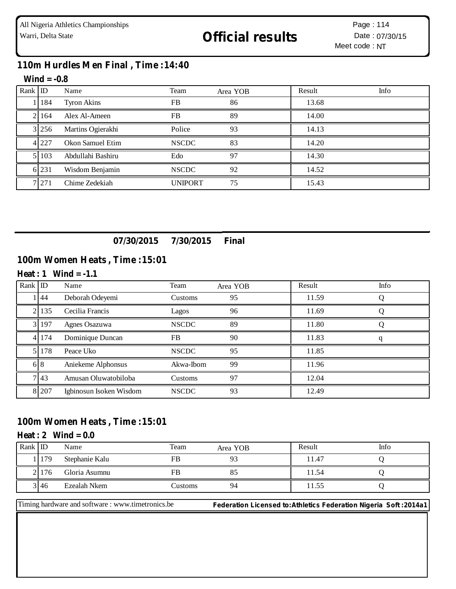## **110m Hurdles Men Final , Time :14:40**

#### **Wind = -0.8**

| Rank $\overline{ID}$ |           | Name               | Team           | Area YOB | Result | Info |
|----------------------|-----------|--------------------|----------------|----------|--------|------|
|                      | 184       | <b>Tyron Akins</b> | <b>FB</b>      | 86       | 13.68  |      |
|                      | 2.164     | Alex Al-Ameen      | <b>FB</b>      | 89       | 14.00  |      |
|                      | 3 256     | Martins Ogierakhi  | Police         | 93       | 14.13  |      |
|                      | 4 227     | Okon Samuel Etim   | <b>NSCDC</b>   | 83       | 14.20  |      |
|                      | 5 1 1 0 3 | Abdullahi Bashiru  | Edo            | 97       | 14.30  |      |
|                      | 6 231     | Wisdom Benjamin    | <b>NSCDC</b>   | 92       | 14.52  |      |
|                      | 7 271     | Chime Zedekiah     | <b>UNIPORT</b> | 75       | 15.43  |      |

## **07/30/2015 7/30/2015 Final**

## **100m Women Heats , Time :15:01**

#### **Heat : 1 Wind = -1.1**

| Rank ID        |         | Name                    | Team         | Area YOB | Result | Info |
|----------------|---------|-------------------------|--------------|----------|--------|------|
|                | 44      | Deborah Odeyemi         | Customs      | 95       | 11.59  |      |
| 2 <sup>1</sup> | 135     | Cecilia Francis         | Lagos        | 96       | 11.69  |      |
| 3I             | 197     | Agnes Osazuwa           | <b>NSCDC</b> | 89       | 11.80  |      |
|                | 4 1 7 4 | Dominique Duncan        | <b>FB</b>    | 90       | 11.83  |      |
| 51             | 178     | Peace Uko               | <b>NSCDC</b> | 95       | 11.85  |      |
|                | 68      | Aniekeme Alphonsus      | Akwa-Ibom    | 99       | 11.96  |      |
|                | 7.43    | Amusan Oluwatobiloba    | Customs      | 97       | 12.04  |      |
|                | 8 207   | Igbinosun Isoken Wisdom | <b>NSCDC</b> | 93       | 12.49  |      |

#### **100m Women Heats , Time :15:01**

#### $Heat: 2$   $Wind = 0.0$

| Rank | ID   | Name           | Team    | Area YOB | Result | Info |
|------|------|----------------|---------|----------|--------|------|
|      | 179  | Stephanie Kalu | FB      |          | 11.47  |      |
|      | 176  | Gloria Asumnu  | FB      | 82       | 11.54  |      |
|      | 3146 | Ezealah Nkem   | ∠ustoms | 94       | 1.55   |      |

Timing hardware and software : www.timetronics.be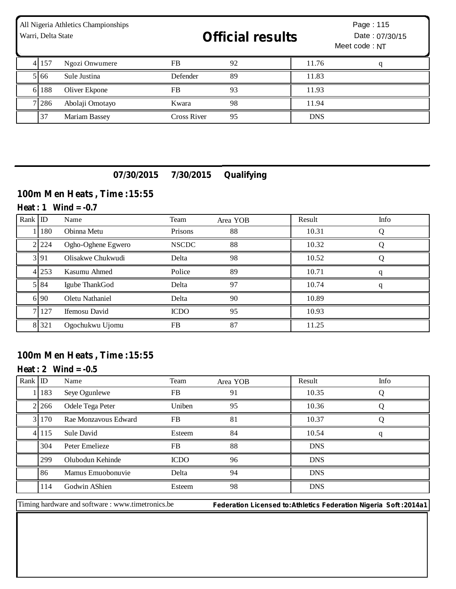| All Nigeria Athletics Championships<br>Warri, Delta State |        |                 | <b>Official results</b> |    |            | Page: 115<br>Date: 07/30/15<br>Meet code: NT |
|-----------------------------------------------------------|--------|-----------------|-------------------------|----|------------|----------------------------------------------|
|                                                           | 4 157  | Ngozi Onwumere  | <b>FB</b>               | 92 | 11.76      | q                                            |
|                                                           | 5 6 6  | Sule Justina    | Defender                | 89 | 11.83      |                                              |
|                                                           | 6 188  | Oliver Ekpone   | FB                      | 93 | 11.93      |                                              |
|                                                           | 7 28 6 | Abolaji Omotayo | Kwara                   | 98 | 11.94      |                                              |
|                                                           | 37     | Mariam Bassey   | <b>Cross River</b>      | 95 | <b>DNS</b> |                                              |

## **07/30/2015 7/30/2015 Qualifying**

## **100m Men Heats , Time :15:55**

#### **Heat : 1 Wind = -0.7**

| Rank ID |         | Name                 | Team         | Area YOB | Result | Info |
|---------|---------|----------------------|--------------|----------|--------|------|
|         | 180     | Obinna Metu          | Prisons      | 88       | 10.31  |      |
|         | 2 2 2 4 | Ogho-Oghene Egwero   | <b>NSCDC</b> | 88       | 10.32  |      |
|         | 3 9 1   | Olisakwe Chukwudi    | Delta        | 98       | 10.52  |      |
|         | 4 2 5 3 | Kasumu Ahmed         | Police       | 89       | 10.71  |      |
|         | 5 8 4   | Igube ThankGod       | Delta        | 97       | 10.74  |      |
|         | 6 90    | Oletu Nathaniel      | Delta        | 90       | 10.89  |      |
|         | 7 1 2 7 | <b>Ifemosu</b> David | <b>ICDO</b>  | 95       | 10.93  |      |
|         | 8 3 2 1 | Ogochukwu Ujomu      | FB           | 87       | 11.25  |      |

## **100m Men Heats , Time :15:55**

## **Heat : 2 Wind = -0.5**

| Rank ID |         | Name                 | Team        | Area YOB | Result     | Info |
|---------|---------|----------------------|-------------|----------|------------|------|
|         | 183     | Seye Ogunlewe        | <b>FB</b>   | 91       | 10.35      |      |
|         | 2 2 6 6 | Odele Tega Peter     | Uniben      | 95       | 10.36      |      |
|         | 3170    | Rae Monzavous Edward | FB.         | 81       | 10.37      |      |
|         | 4 1 1 5 | Sule David           | Esteem      | 84       | 10.54      |      |
|         | 304     | Peter Emelieze       | FB          | 88       | <b>DNS</b> |      |
|         | 299     | Olubodun Kehinde     | <b>ICDO</b> | 96       | <b>DNS</b> |      |
|         | 86      | Mamus Emuobonuvie    | Delta       | 94       | <b>DNS</b> |      |
|         | 114     | Godwin AShien        | Esteem      | 98       | <b>DNS</b> |      |

Timing hardware and software : www.timetronics.be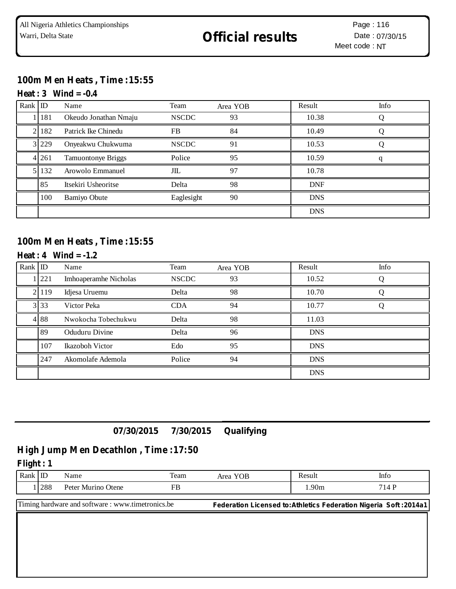## **100m Men Heats , Time :15:55**

#### **Heat : 3 Wind = -0.4**

| Rank ID |       | Name                      | Team         | Area YOB | Result     | Info |
|---------|-------|---------------------------|--------------|----------|------------|------|
|         | 181   | Okeudo Jonathan Nmaju     | <b>NSCDC</b> | 93       | 10.38      |      |
|         | 182   | Patrick Ike Chinedu       | <b>FB</b>    | 84       | 10.49      |      |
|         | 3 229 | Onyeakwu Chukwuma         | <b>NSCDC</b> | 91       | 10.53      |      |
|         | 4 261 | <b>Tamuontonye Briggs</b> | Police       | 95       | 10.59      |      |
|         | 132   | Arowolo Emmanuel          | JIL          | 97       | 10.78      |      |
|         | 85    | Itsekiri Usheoritse       | Delta        | 98       | <b>DNF</b> |      |
|         | 100   | <b>Bamiyo Obute</b>       | Eaglesight   | 90       | <b>DNS</b> |      |
|         |       |                           |              |          | <b>DNS</b> |      |

## **100m Men Heats , Time :15:55**

### **Heat : 4 Wind = -1.2**

| Rank ID |       | Name                         | Team         | Area YOB | Result     | Info |
|---------|-------|------------------------------|--------------|----------|------------|------|
|         | 1221  | <b>Imhoaperamhe Nicholas</b> | <b>NSCDC</b> | 93       | 10.52      |      |
|         | 2 119 | Idjesa Uruemu                | Delta        | 98       | 10.70      |      |
|         | 3 3 3 | Victor Peka                  | <b>CDA</b>   | 94       | 10.77      |      |
|         | 488   | Nwokocha Tobechukwu          | Delta        | 98       | 11.03      |      |
|         | 89    | Oduduru Divine               | Delta        | 96       | <b>DNS</b> |      |
|         | 107   | Ikazoboh Victor              | Edo          | 95       | <b>DNS</b> |      |
|         | 247   | Akomolafe Ademola            | Police       | 94       | <b>DNS</b> |      |
|         |       |                              |              |          | <b>DNS</b> |      |

## **07/30/2015 7/30/2015 Qualifying**

# **High Jump Men Decathlon , Time :17:50**

#### **Flight : 1**

| Rank $ID$                                                                                                              |            | Name               | Team | Area YOB | Result | Info  |
|------------------------------------------------------------------------------------------------------------------------|------------|--------------------|------|----------|--------|-------|
|                                                                                                                        | <b>288</b> | Peter Murino Otene | FB   |          | .90m   | 714 P |
| Timing hardware and software: www.timetronics.be<br>Federation Licensed to: Athletics Federation Nigeria Soft : 2014a1 |            |                    |      |          |        |       |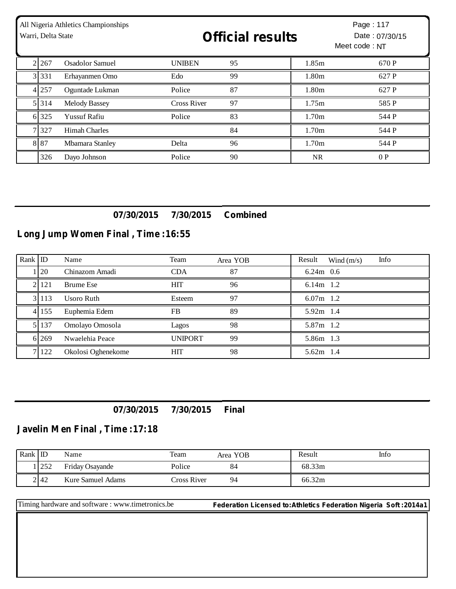| Warri, Delta State | All Nigeria Athletics Championships | <b>Official results</b> |    |                   | Page: 117<br>Date: 07/30/15<br>Meet code: NT |  |
|--------------------|-------------------------------------|-------------------------|----|-------------------|----------------------------------------------|--|
| 2 2 6 7            | Osadolor Samuel                     | <b>UNIBEN</b>           | 95 | 1.85m             | 670 P                                        |  |
| 3 3 3 1            | Erhayanmen Omo                      | Edo                     | 99 | 1.80m             | 627 P                                        |  |
| 4 2 5 7            | Oguntade Lukman                     | Police                  | 87 | 1.80m             | 627 P                                        |  |
| 5 3 1 4            | <b>Melody Bassey</b>                | <b>Cross River</b>      | 97 | 1.75m             | 585 P                                        |  |
| 6 325              | <b>Yussuf Rafiu</b>                 | Police                  | 83 | 1.70m             | 544 P                                        |  |
| 7 3 2 7            | <b>Himah Charles</b>                |                         | 84 | 1.70 <sub>m</sub> | 544 P                                        |  |
| 8 8 7              | Mbamara Stanley                     | Delta                   | 96 | 1.70 <sub>m</sub> | 544 P                                        |  |
| 326                | Dayo Johnson                        | Police                  | 90 | NR.               | 0P                                           |  |

## **07/30/2015 7/30/2015 Combined**

# **Long Jump Women Final , Time :16:55**

| Rank ID |         | Name               | Team           | Area YOB | Info<br>Result<br>Wind $(m/s)$ |
|---------|---------|--------------------|----------------|----------|--------------------------------|
|         | 120     | Chinazom Amadi     | <b>CDA</b>     | 87       | $6.24m$ 0.6                    |
|         | 2121    | <b>Brume Ese</b>   | <b>HIT</b>     | 96       | $6.14m$ 1.2                    |
|         | 31113   | Usoro Ruth         | Esteem         | 97       | $6.07m$ 1.2                    |
|         | 4 155   | Euphemia Edem      | <b>FB</b>      | 89       | 5.92m 1.4                      |
|         | 5 137   | Omolayo Omosola    | Lagos          | 98       | 5.87m 1.2                      |
|         | 6 2 6 9 | Nwaelehia Peace    | <b>UNIPORT</b> | 99       | 5.86m 1.3                      |
|         | 7 1 2 2 | Okolosi Oghenekome | <b>HIT</b>     | 98       | $5.62m$ 1.4                    |

## **07/30/2015 7/30/2015 Final**

## **Javelin Men Final , Time :17:18**

| Rank $ $ ID |              | Name                     | Team        | Area YOB | Result | Info |
|-------------|--------------|--------------------------|-------------|----------|--------|------|
|             | .252<br>ے بے | Friday Osayande          | Police      | 84       | 68.33m |      |
|             | 2 42         | <b>Kure Samuel Adams</b> | Cross River | 94       | 66.32m |      |

Timing hardware and software : www.timetronics.be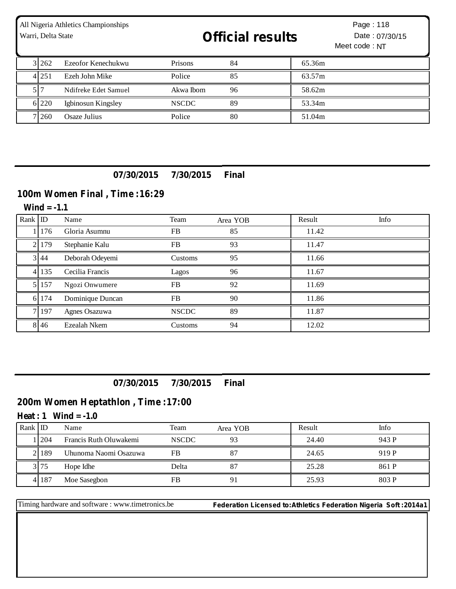| Warri, Delta State | All Nigeria Athletics Championships | <b>Official results</b> |    |        | Page: 118<br>Date: 07/30/15<br>Meet code: NT |
|--------------------|-------------------------------------|-------------------------|----|--------|----------------------------------------------|
| 3 262              | Ezeofor Kenechukwu                  | Prisons                 | 84 | 65.36m |                                              |
| 4 2 5 1            | Ezeh John Mike                      | Police                  | 85 | 63.57m |                                              |
|                    | Ndifreke Edet Samuel                | Akwa Ibom               | 96 | 58.62m |                                              |
| 6 2 2 0            | Igbinosun Kingsley                  | <b>NSCDC</b>            | 89 | 53.34m |                                              |
| 7 260              | Osaze Julius                        | Police                  | 80 | 51.04m |                                              |

## **07/30/2015 7/30/2015 Final**

### **100m Women Final , Time :16:29**

Rank ID Name Team Area YOB Result Info 1 176 Gloria Asumnu FB 85 11.42 2 | 179 Stephanie Kalu FB 93 | 11.47 3 44 Deborah Odeyemi Customs 95 11.66 4 135 Cecilia Francis Lagos 96 11.67 5 157 Ngozi Onwumere FB 92 11.69 6 174 Dominique Duncan FB 90 11.86 7 197 Agnes Osazuwa NSCDC 89 11.87 8 46 Ezealah Nkem Customs 94 12.02 **Wind = -1.1**

**07/30/2015 7/30/2015 Final**

### **200m Women Heptathlon , Time :17:00**

**Heat : 1 Wind = -1.0**

| Rank | ID          | Name                   | Team         | Area YOB | Result | Info  |
|------|-------------|------------------------|--------------|----------|--------|-------|
|      | <b>1204</b> | Francis Ruth Oluwakemi | <b>NSCDC</b> | 93       | 24.40  | 943 P |
|      | 2189        | Uhunoma Naomi Osazuwa  | FB           | 87       | 24.65  | 919 P |
|      | 3175        | Hope Idhe              | Delta        |          | 25.28  | 861 P |
|      | 4 187       | Moe Sasegbon           | FB           | 91       | 25.93  | 803 P |

Timing hardware and software : www.timetronics.be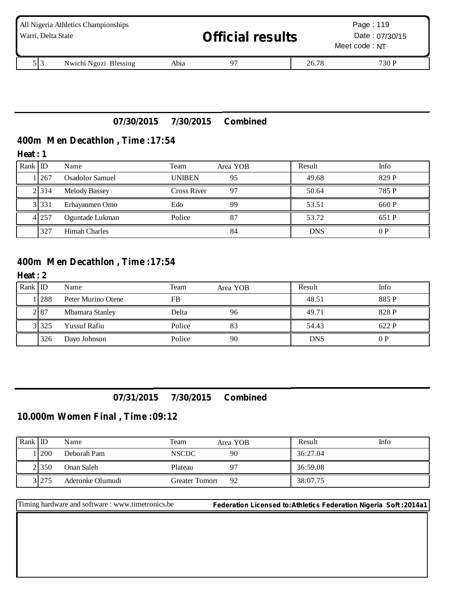| Warri, Delta State | All Nigeria Athletics Championships |      | <b>Official results</b> |       | Page: 119<br>Date: 07/30/15<br>Meet code: NT |
|--------------------|-------------------------------------|------|-------------------------|-------|----------------------------------------------|
| 513                | Nwichi Ngozi Blessing               | Abia |                         | 26.78 | 730 P                                        |

## **07/30/2015 7/30/2015 Combined**

## **400m Men Decathlon , Time :17:54**

#### **Heat : 1**

| Rank $ $ ID |         | Name                   | Team          | Area YOB | Result     | Info  |
|-------------|---------|------------------------|---------------|----------|------------|-------|
|             | . 267   | <b>Osadolor Samuel</b> | <b>UNIBEN</b> | 95       | 49.68      | 829 P |
|             | 2 3 1 4 | <b>Melody Bassey</b>   | Cross River   | 97       | 50.64      | 785 P |
|             | 3 3 3 1 | Erhayanmen Omo         | Edo           | 99       | 53.51      | 660 P |
|             | 4 2 5 7 | Oguntade Lukman        | Police        | 87       | 53.72      | 651 P |
|             | 327     | <b>Himah Charles</b>   |               | 84       | <b>DNS</b> | 0P    |

### **400m Men Decathlon , Time :17:54**

#### **Heat : 2**

| Rank ID |         | Name                | Team      | Area YOB | Result     | Info  |
|---------|---------|---------------------|-----------|----------|------------|-------|
|         | 1 288   | Peter Murino Otene  | <b>FB</b> |          | 48.51      | 885 P |
|         | 2 8 7   | Mbamara Stanley     | Delta     | 96       | 49.71      | 828 P |
|         | 3 3 2 5 | <b>Yussuf Rafiu</b> | Police    | 83       | 54.43      | 622 P |
|         | 326     | Dayo Johnson        | Police    | 90       | <b>DNS</b> | 0P    |

### **07/31/2015 7/30/2015 Combined**

#### **10.000m Women Final , Time :09:12**

| Rank ID |         | Name             | Team           | Area YOB | Result   | Info |
|---------|---------|------------------|----------------|----------|----------|------|
|         | 200     | Deborah Pam      | <b>NSCDC</b>   | 90       | 36:27.04 |      |
|         | 2 3 5 0 | Onan Saleh       | Plateau        |          | 36:59.08 |      |
|         | 3 275   | Aderonke Olumudi | Greater Tomorr | 92       | 38:07.75 |      |

Timing hardware and software : www.timetronics.be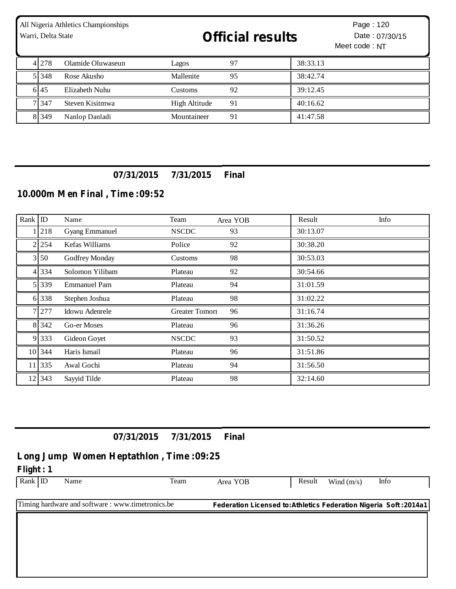| Warri, Delta State | All Nigeria Athletics Championships | <b>Official results</b> |    |          | Page: 120<br>Date: 07/30/15<br>Meet code: NT |
|--------------------|-------------------------------------|-------------------------|----|----------|----------------------------------------------|
| 4 2 7 8            | Olamide Oluwaseun                   | Lagos                   | 97 | 38:33.13 |                                              |
| 5 3 4 8            | Rose Akusho                         | Mallenite               | 95 | 38:42.74 |                                              |
| 6.45               | Elizabeth Nuhu                      | Customs                 | 92 | 39:12.45 |                                              |
| 7 347              | Steven Kisitmwa                     | High Altitude           | 91 | 40:16.62 |                                              |
| 8 3 4 9            | Nanlop Danladi                      | Mountaineer             | 91 | 41:47.58 |                                              |

## **07/31/2015 7/31/2015 Final**

## **10.000m Men Final , Time :09:52**

| Rank ID |             | Name                  | Team                  | Area YOB | Result   | Info |
|---------|-------------|-----------------------|-----------------------|----------|----------|------|
|         | 218         | <b>Gyang Emmanuel</b> | <b>NSCDC</b>          | 93       | 30:13.07 |      |
|         | 2 254       | Kefas Williams        | Police                | 92       | 30:38.20 |      |
|         | $3\vert 50$ | Godfrey Monday        | Customs               | 98       | 30:53.03 |      |
|         | 4 3 3 4     | Solomon Yilibam       | Plateau               | 92       | 30:54.66 |      |
|         | 5 339       | <b>Emmanuel Pam</b>   | Plateau               | 94       | 31:01.59 |      |
|         | 6 338       | Stephen Joshua        | Plateau               | 98       | 31:02.22 |      |
|         | 7 277       | Idowu Adenrele        | <b>Greater Tomorr</b> | 96       | 31:16.74 |      |
|         | 8 3 4 2     | Go-er Moses           | Plateau               | 96       | 31:36.26 |      |
|         | 9 3 3 3     | Gideon Goyet          | <b>NSCDC</b>          | 93       | 31:50.52 |      |
|         | 10 344      | Haris Ismail          | Plateau               | 96       | 31:51.86 |      |
|         | 11 335      | Awal Gochi            | Plateau               | 94       | 31:56.50 |      |
|         | 12 343      | Sayyid Tilde          | Plateau               | 98       | 32:14.60 |      |

**07/31/2015 7/31/2015 Final**

# **Long Jump Women Heptathlon , Time :09:25**

**Flight : 1**

Rank ID Name Team Area YOB Result Wind (m/s) Info

Timing hardware and software : www.timetronics.be **Federation Licensed to:Athletics Federation Nigeria Soft :2014a1**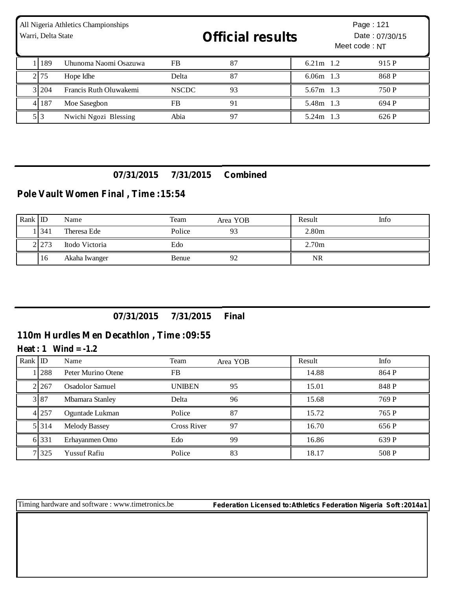| All Nigeria Athletics Championships<br>Warri, Delta State |                        |              | <b>Official results</b> |             | Page: 121<br>Date: 07/30/15<br>Meet code: NT |       |  |
|-----------------------------------------------------------|------------------------|--------------|-------------------------|-------------|----------------------------------------------|-------|--|
| . 189                                                     | Uhunoma Naomi Osazuwa  | <b>FB</b>    | 87                      | $6.21m$ 1.2 |                                              | 915 P |  |
| 2.75                                                      | Hope Idhe              | Delta        | 87                      | $6.06m$ 1.3 |                                              | 868 P |  |
| 3 204                                                     | Francis Ruth Oluwakemi | <b>NSCDC</b> | 93                      | 5.67m 1.3   |                                              | 750 P |  |
| 4 187                                                     | Moe Sasegbon           | <b>FB</b>    | 91                      | 5.48m 1.3   |                                              | 694 P |  |
| 5 3                                                       | Nwichi Ngozi Blessing  | Abia         | 97                      | 5.24m 1.3   |                                              | 626 P |  |

### **07/31/2015 7/31/2015 Combined**

## **Pole Vault Women Final , Time :15:54**

| $Rank$ ID |         | Name           | Team   | Area YOB | Result            | Info |
|-----------|---------|----------------|--------|----------|-------------------|------|
|           | 341     | Theresa Ede    | Police | 93       | 2.80 <sub>m</sub> |      |
|           | 2 2 7 3 | Itodo Victoria | Edo    |          | 2.70 <sub>m</sub> |      |
|           | 16      | Akaha Iwanger  | Benue  | 92       | NR.               |      |

### **07/31/2015 7/31/2015 Final**

### **110m Hurdles Men Decathlon , Time :09:55**

#### **Heat : 1 Wind = -1.2**

| Rank $ $ ID |         | Name                 | Team          | Area YOB | Result | Info  |
|-------------|---------|----------------------|---------------|----------|--------|-------|
|             | 1288    | Peter Murino Otene   | <b>FB</b>     |          | 14.88  | 864 P |
|             | 2.267   | Osadolor Samuel      | <b>UNIBEN</b> | 95       | 15.01  | 848 P |
|             | 3 8 7   | Mbamara Stanley      | Delta         | 96       | 15.68  | 769 P |
|             | 4 2 5 7 | Oguntade Lukman      | Police        | 87       | 15.72  | 765 P |
|             | 5 3 1 4 | <b>Melody Bassey</b> | Cross River   | 97       | 16.70  | 656 P |
|             | 6 3 3 1 | Erhayanmen Omo       | Edo           | 99       | 16.86  | 639 P |
|             | 7 3 2 5 | <b>Yussuf Rafiu</b>  | Police        | 83       | 18.17  | 508 P |

Timing hardware and software : www.timetronics.be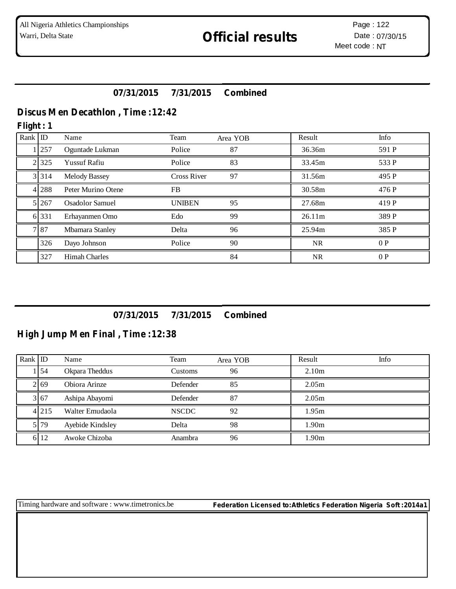## **07/31/2015 7/31/2015 Combined**

## **Discus Men Decathlon , Time :12:42**

#### **Flight : 1**

| Rank ID |         | Name                   | Team               | Area YOB | Result    | Info  |
|---------|---------|------------------------|--------------------|----------|-----------|-------|
|         | 257     | Oguntade Lukman        | Police             | 87       | 36.36m    | 591 P |
|         | 2 3 2 5 | <b>Yussuf Rafiu</b>    | Police             | 83       | 33.45m    | 533 P |
|         | 3 3 1 4 | <b>Melody Bassey</b>   | <b>Cross River</b> | 97       | 31.56m    | 495 P |
|         | 4 2 8 8 | Peter Murino Otene     | <b>FB</b>          |          | 30.58m    | 476 P |
|         | 5 2 6 7 | <b>Osadolor Samuel</b> | <b>UNIBEN</b>      | 95       | 27.68m    | 419 P |
|         | 6 3 3 1 | Erhayanmen Omo         | Edo                | 99       | 26.11m    | 389 P |
|         | 787     | Mbamara Stanley        | Delta              | 96       | 25.94m    | 385 P |
|         | 326     | Dayo Johnson           | Police             | 90       | <b>NR</b> | 0P    |
|         | 327     | <b>Himah Charles</b>   |                    | 84       | <b>NR</b> | 0P    |

## **07/31/2015 7/31/2015 Combined**

## **High Jump Men Final , Time :12:38**

| Rank ID |           | Name             | Team         | Area YOB | Result            | Info |
|---------|-----------|------------------|--------------|----------|-------------------|------|
|         | <b>54</b> | Okpara Theddus   | Customs      | 96       | 2.10 <sub>m</sub> |      |
|         | 2 69      | Obiora Arinze    | Defender     | 85       | 2.05 <sub>m</sub> |      |
|         | 3 67      | Ashipa Abayomi   | Defender     | 87       | 2.05 <sub>m</sub> |      |
|         | 4 2 1 5   | Walter Emudaola  | <b>NSCDC</b> | 92       | 1.95m             |      |
|         | 5.79      | Ayebide Kindsley | Delta        | 98       | 1.90 <sub>m</sub> |      |
|         | 6 12      | Awoke Chizoba    | Anambra      | 96       | 1.90 <sub>m</sub> |      |

Timing hardware and software : www.timetronics.be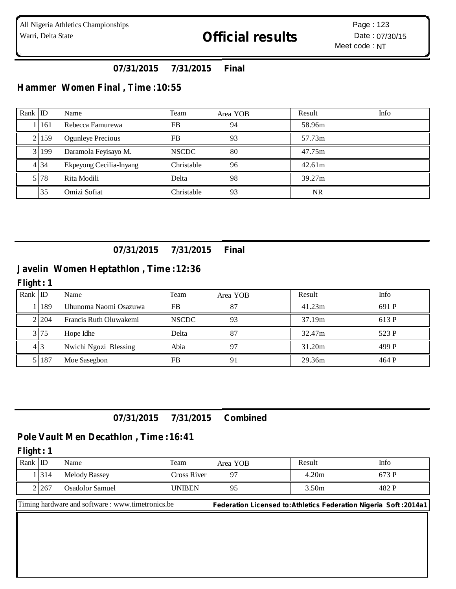## **07/31/2015 7/31/2015 Final**

## **Hammer Women Final , Time :10:55**

| Rank $ID$ |         | Name                     | Team         | Area YOB | Result    | Info |
|-----------|---------|--------------------------|--------------|----------|-----------|------|
|           | 161     | Rebecca Famurewa         | <b>FB</b>    | 94       | 58.96m    |      |
|           | 2   159 | <b>Ogunleye Precious</b> | <b>FB</b>    | 93       | 57.73m    |      |
|           | 3 199   | Daramola Feyisayo M.     | <b>NSCDC</b> | 80       | 47.75m    |      |
|           | 4 34    | Ekpeyong Cecilia-Inyang  | Christable   | 96       | 42.61m    |      |
|           | 5178    | Rita Modili              | Delta        | 98       | 39.27m    |      |
|           | 35      | Omizi Sofiat             | Christable   | 93       | <b>NR</b> |      |

## **07/31/2015 7/31/2015 Final**

### **Javelin Women Heptathlon , Time :12:36**

#### **Flight : 1**

| Rank $ D $ |       | Name                   | Team         | Area YOB | Result | Info  |
|------------|-------|------------------------|--------------|----------|--------|-------|
|            | 189   | Uhunoma Naomi Osazuwa  | FB           | 87       | 41.23m | 691 P |
|            | 2.204 | Francis Ruth Oluwakemi | <b>NSCDC</b> | 93       | 37.19m | 613 P |
|            | 3175  | Hope Idhe              | Delta        | 87       | 32.47m | 523 P |
|            | 413   | Nwichi Ngozi Blessing  | Abia         | 97       | 31.20m | 499 P |
|            | 187   | Moe Sasegbon           | FB           | 91       | 29.36m | 464 P |

#### **07/31/2015 7/31/2015 Combined**

#### **Pole Vault Men Decathlon , Time :16:41**

#### **Flight : 1**

| Rank | ΙL      | Name                 | Team          | Area YOB | Result | Info  |
|------|---------|----------------------|---------------|----------|--------|-------|
|      | 314     | <b>Melody Bassey</b> | Cross River   |          | 4.20m  | 673 P |
|      | 2 2 6 7 | Osadolor Samuel      | <b>JNIBEN</b> |          | 3.50m  | 482 P |

Timing hardware and software : www.timetronics.be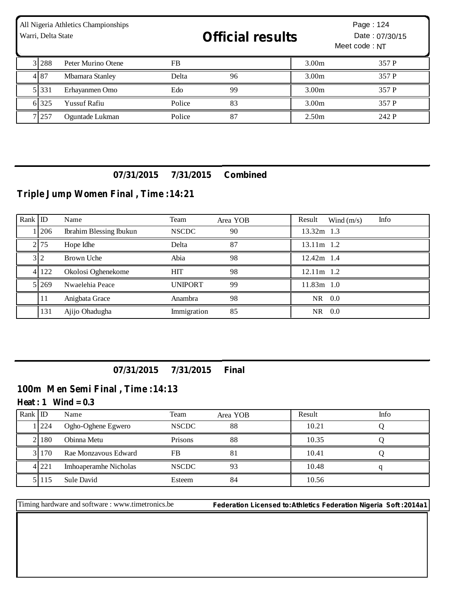| All Nigeria Athletics Championships<br>Warri, Delta State |         |                     |        | <b>Official results</b> |                   | Page: 124<br>Date: 07/30/15<br>Meet code: NT |  |
|-----------------------------------------------------------|---------|---------------------|--------|-------------------------|-------------------|----------------------------------------------|--|
|                                                           | 3 288   | Peter Murino Otene  | FB     |                         | 3.00 <sub>m</sub> | 357 P                                        |  |
|                                                           | 487     | Mbamara Stanley     | Delta  | 96                      | 3.00 <sub>m</sub> | 357 P                                        |  |
|                                                           | 5 3 3 1 | Erhayanmen Omo      | Edo    | 99                      | 3.00 <sub>m</sub> | 357 P                                        |  |
|                                                           | 6 325   | <b>Yussuf Rafiu</b> | Police | 83                      | 3.00 <sub>m</sub> | 357 P                                        |  |
|                                                           | 7 257   | Oguntade Lukman     | Police | 87                      | 2.50 <sub>m</sub> | 242 P                                        |  |

### **07/31/2015 7/31/2015 Combined**

# **Triple Jump Women Final , Time :14:21**

| Rank ID |       | Name                           | Team           | Area YOB | Info<br>Result<br>Wind $(m/s)$ |
|---------|-------|--------------------------------|----------------|----------|--------------------------------|
|         | 1206  | <b>Ibrahim Blessing Ibukun</b> | <b>NSCDC</b>   | 90       | 13.32m 1.3                     |
|         | 2175  | Hope Idhe                      | Delta          | 87       | 13.11m 1.2                     |
|         | 3 2   | Brown Uche                     | Abia           | 98       | $12.42m$ 1.4                   |
|         | 4 122 | Okolosi Oghenekome             | <b>HIT</b>     | 98       | 12.11m 1.2                     |
|         | 5 269 | Nwaelehia Peace                | <b>UNIPORT</b> | 99       | 11.83m 1.0                     |
|         | 11    | Anigbata Grace                 | Anambra        | 98       | NR 0.0                         |
|         | 131   | Ajijo Ohadugha                 | Immigration    | 85       | 0.0<br>NR.                     |

## **07/31/2015 7/31/2015 Final**

## **100m Men Semi Final , Time :14:13**

### $Heat: 1$   $Wind = 0.3$

| Rank ID |            | Name                  | Team         | Area YOB | Result | Info |
|---------|------------|-----------------------|--------------|----------|--------|------|
|         | <b>224</b> | Ogho-Oghene Egwero    | <b>NSCDC</b> | 88       | 10.21  |      |
|         | 180        | Obinna Metu           | Prisons      | 88       | 10.35  |      |
|         | 3 1 1 7 0  | Rae Monzayous Edward  | FB           | 81       | 10.41  |      |
|         | 4 221      | Imhoaperamhe Nicholas | <b>NSCDC</b> | 93       | 10.48  |      |
|         | 51115      | Sule David            | Esteem       | 84       | 10.56  |      |

Timing hardware and software : www.timetronics.be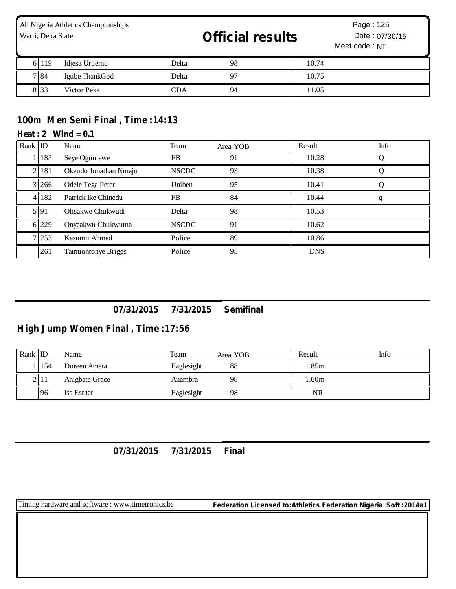| All Nigeria Athletics Championships<br>Warri, Delta State |         |                |       | <b>Official results</b> |       | Page: 125<br>Date: 07/30/15<br>Meet code: NT |  |
|-----------------------------------------------------------|---------|----------------|-------|-------------------------|-------|----------------------------------------------|--|
|                                                           | 6 1 1 9 | Idjesa Uruemu  | Delta | 98                      | 10.74 |                                              |  |
|                                                           | 7 8 4   | Igube ThankGod | Delta | 97                      | 10.75 |                                              |  |
|                                                           | 833     | Victor Peka    | CDA   | 94                      | 11.05 |                                              |  |

# **100m Men Semi Final , Time :14:13**

#### $Heat: 2$   $Wind = 0.1$

| Rank ID |       | Name                      | Team         | Area YOB | Result     | Info |
|---------|-------|---------------------------|--------------|----------|------------|------|
|         | 183   | Seye Ogunlewe             | <b>FB</b>    | 91       | 10.28      |      |
|         | 181   | Okeudo Jonathan Nmaju     | <b>NSCDC</b> | 93       | 10.38      |      |
|         | 3 266 | Odele Tega Peter          | Uniben       | 95       | 10.41      |      |
|         | 182   | Patrick Ike Chinedu       | <b>FB</b>    | 84       | 10.44      |      |
|         | 5 9 1 | Olisakwe Chukwudi         | Delta        | 98       | 10.53      |      |
|         | 6 229 | Onyeakwu Chukwuma         | <b>NSCDC</b> | 91       | 10.62      |      |
|         | 7 253 | Kasumu Ahmed              | Police       | 89       | 10.86      |      |
|         | 261   | <b>Tamuontonye Briggs</b> | Police       | 95       | <b>DNS</b> |      |

## **07/31/2015 7/31/2015 Semifinal**

# **High Jump Women Final , Time :17:56**

| $Rank$ ID |      | Name           | Team       | Area YOB | Result | Info |
|-----------|------|----------------|------------|----------|--------|------|
|           | 154  | Doreen Amata   | Eaglesight | 88       | l.85m  |      |
|           | 2 11 | Anigbata Grace | Anambra    | 98       | l.60m  |      |
|           | 96   | Isa Esther     | Eaglesight | 98       | NR     |      |

**07/31/2015 7/31/2015 Final**

Timing hardware and software : www.timetronics.be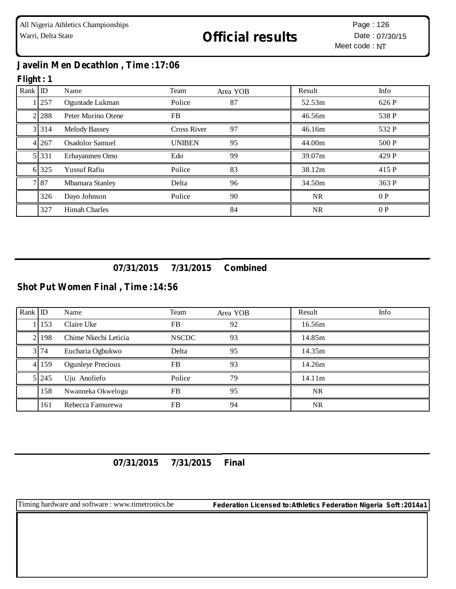## **Javelin Men Decathlon , Time :17:06**

## **Flight : 1**

| Rank ID |           | Name                 | Team               | Area YOB | Result    | Info  |
|---------|-----------|----------------------|--------------------|----------|-----------|-------|
|         | 257       | Oguntade Lukman      | Police             | 87       | 52.53m    | 626 P |
|         | 2 2 2 8 8 | Peter Murino Otene   | FB.                |          | 46.56m    | 538 P |
|         | 3 3 1 4   | <b>Melody Bassey</b> | <b>Cross River</b> | 97       | 46.16m    | 532 P |
|         | 4 2 6 7   | Osadolor Samuel      | <b>UNIBEN</b>      | 95       | 44.00m    | 500 P |
|         | 5 331     | Erhayanmen Omo       | Edo                | 99       | 39.07m    | 429 P |
|         | 6 325     | <b>Yussuf Rafiu</b>  | Police             | 83       | 38.12m    | 415 P |
|         | 787       | Mbamara Stanley      | Delta              | 96       | 34.50m    | 363 P |
|         | 326       | Dayo Johnson         | Police             | 90       | <b>NR</b> | 0P    |
|         | 327       | <b>Himah Charles</b> |                    | 84       | NR.       | 0P    |

**07/31/2015 7/31/2015 Combined**

#### **Shot Put Women Final , Time :14:56**

| Rank $ $ ID |         | Name                     | Team         | Area YOB | Result    | Info |
|-------------|---------|--------------------------|--------------|----------|-----------|------|
|             | 153     | Claire Uke               | FB           | 92       | 16.56m    |      |
|             | 2.198   | Chime Nkechi Leticia     | <b>NSCDC</b> | 93       | 14.85m    |      |
|             | 3 74    | Eucharia Ogbukwo         | Delta        | 95       | 14.35m    |      |
|             | 4 159   | <b>Ogunleye Precious</b> | FB           | 93       | 14.26m    |      |
|             | 5 2 4 5 | Uju Anoliefo             | Police       | 79       | 14.11m    |      |
|             | 158     | Nwanneka Okwelogu        | FB           | 95       | NR.       |      |
|             | 161     | Rebecca Famurewa         | <b>FB</b>    | 94       | <b>NR</b> |      |

## **07/31/2015 7/31/2015 Final**

Timing hardware and software : www.timetronics.be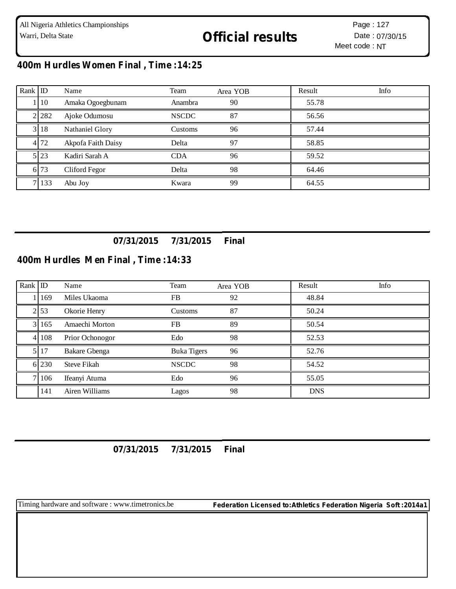# **400m Hurdles Women Final , Time :14:25**

| Rank ID |           | Name               | Team         | Area YOB | Result | Info |
|---------|-----------|--------------------|--------------|----------|--------|------|
|         | 1110      | Amaka Ogoegbunam   | Anambra      | 90       | 55.78  |      |
|         | 2 2 2 3 2 | Ajoke Odumosu      | <b>NSCDC</b> | 87       | 56.56  |      |
|         | 3 18      | Nathaniel Glory    | Customs      | 96       | 57.44  |      |
|         | 4 72      | Akpofa Faith Daisy | Delta        | 97       | 58.85  |      |
|         | 5 23      | Kadiri Sarah A     | <b>CDA</b>   | 96       | 59.52  |      |
|         | 6.73      | Cliford Fegor      | Delta        | 98       | 64.46  |      |
|         | 7 1 3 3   | Abu Joy            | Kwara        | 99       | 64.55  |      |

# **07/31/2015 7/31/2015 Final**

## **400m Hurdles Men Final , Time :14:33**

| Rank ID |           | Name                 | Team         | Area YOB | Result     | Info |
|---------|-----------|----------------------|--------------|----------|------------|------|
|         | 1 1 1 6 9 | Miles Ukaoma         | <b>FB</b>    | 92       | 48.84      |      |
|         | 2 53      | Okorie Henry         | Customs      | 87       | 50.24      |      |
|         | 3 165     | Amaechi Morton       | FB           | 89       | 50.54      |      |
|         | 4 108     | Prior Ochonogor      | Edo          | 98       | 52.53      |      |
|         | 5 17      | <b>Bakare Gbenga</b> | Buka Tigers  | 96       | 52.76      |      |
|         | 6 2 3 0   | <b>Steve Fikah</b>   | <b>NSCDC</b> | 98       | 54.52      |      |
|         | 7 106     | Ifeanyi Atuma        | Edo          | 96       | 55.05      |      |
|         | 141       | Airen Williams       | Lagos        | 98       | <b>DNS</b> |      |

## **07/31/2015 7/31/2015 Final**

Timing hardware and software : www.timetronics.be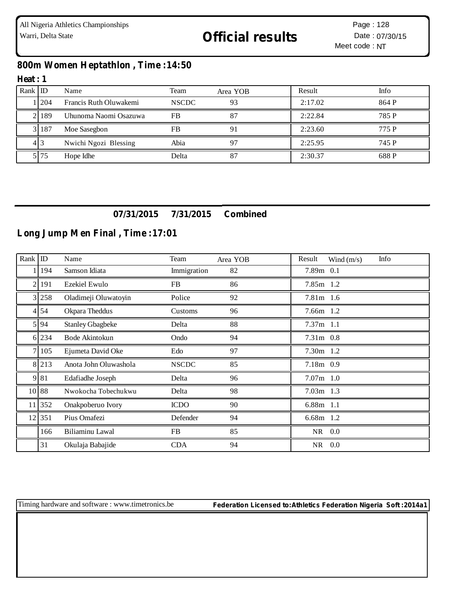## **800m Women Heptathlon , Time :14:50**

#### **Heat : 1**

| $Rank$ ID |      | Name                   | Team         | Area YOB | Result  | Info  |
|-----------|------|------------------------|--------------|----------|---------|-------|
|           | 1204 | Francis Ruth Oluwakemi | <b>NSCDC</b> | 93       | 2:17.02 | 864 P |
|           | 2189 | Uhunoma Naomi Osazuwa  | FB           | 87       | 2:22.84 | 785 P |
|           | 3187 | Moe Sasegbon           | FB           |          | 2:23.60 | 775 P |
|           | 41 3 | Nwichi Ngozi Blessing  | Abia         |          | 2:25.95 | 745 P |
|           | 5 75 | Hope Idhe              | Delta        | 87       | 2:30.37 | 688 P |

## **07/31/2015 7/31/2015 Combined**

## **Long Jump Men Final , Time :17:01**

| Rank            | $\mathbb{D}$ | Name                    | Team         | Area YOB | Info<br>Result<br>Wind $(m/s)$ |
|-----------------|--------------|-------------------------|--------------|----------|--------------------------------|
|                 | 194          | Samson Idiata           | Immigration  | 82       | 7.89m 0.1                      |
| $\mathfrak{D}$  | 191          | Ezekiel Ewulo           | FB           | 86       | 7.85m 1.2                      |
| 3 <sub>1</sub>  | 258          | Oladimeji Oluwatoyin    | Police       | 92       | 7.81m 1.6                      |
| 41              | 54           | Okpara Theddus          | Customs      | 96       | 7.66m 1.2                      |
| 5 <sub>1</sub>  | 94           | <b>Stanley Gbagbeke</b> | Delta        | 88       | $7.37m$ 1.1                    |
|                 | 6 234        | Bode Akintokun          | Ondo         | 94       | 7.31m 0.8                      |
| $\tau$          | 105          | Ejumeta David Oke       | Edo          | 97       | 7.30m 1.2                      |
|                 | 8 213        | Anota John Oluwashola   | <b>NSCDC</b> | 85       | 7.18m 0.9                      |
| 9               | 81           | Edafiadhe Joseph        | Delta        | 96       | $7.07m$ 1.0                    |
|                 | 10 88        | Nwokocha Tobechukwu     | Delta        | 98       | $7.03m$ 1.3                    |
| 11 <sup>1</sup> | 352          | Onakpoberuo Ivory       | <b>ICDO</b>  | 90       | 6.88m 1.1                      |
|                 | 12 351       | Pius Omafezi            | Defender     | 94       | 6.68m 1.2                      |
|                 | 166          | Biliaminu Lawal         | FB           | 85       | NR 0.0                         |
|                 | 31           | Okulaja Babajide        | <b>CDA</b>   | 94       | 0.0<br>NR                      |

Timing hardware and software : www.timetronics.be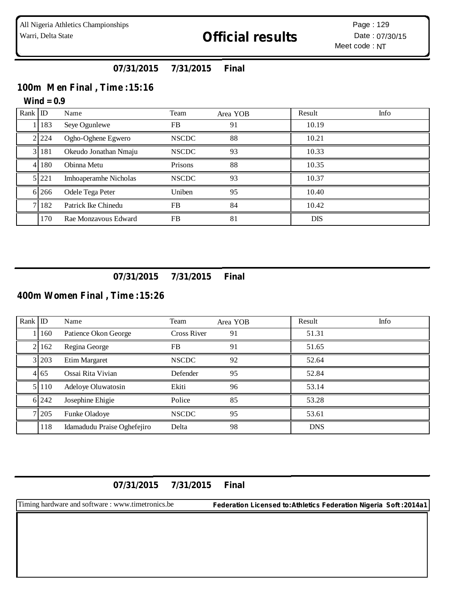## **07/31/2015 7/31/2015 Final**

### **100m Men Final , Time :15:16**

#### **Wind = 0.9**

| Rank ID |         | Name                  | Team         | Area YOB | Result     | Info |
|---------|---------|-----------------------|--------------|----------|------------|------|
|         | 183     | Seye Ogunlewe         | <b>FB</b>    | 91       | 10.19      |      |
|         | 2 2 2 4 | Ogho-Oghene Egwero    | <b>NSCDC</b> | 88       | 10.21      |      |
|         | 181     | Okeudo Jonathan Nmaju | <b>NSCDC</b> | 93       | 10.33      |      |
| 41      | 180     | Obinna Metu           | Prisons      | 88       | 10.35      |      |
|         | 5 221   | Imhoaperamhe Nicholas | <b>NSCDC</b> | 93       | 10.37      |      |
|         | 6 26 6  | Odele Tega Peter      | Uniben       | 95       | 10.40      |      |
|         | 182     | Patrick Ike Chinedu   | <b>FB</b>    | 84       | 10.42      |      |
|         | 170     | Rae Monzavous Edward  | <b>FB</b>    | 81       | <b>DIS</b> |      |

#### **07/31/2015 7/31/2015 Final**

## **400m Women Final , Time :15:26**

| Rank ID |           | Name                        | Team               | Area YOB | Result     | Info |
|---------|-----------|-----------------------------|--------------------|----------|------------|------|
|         | 160       | Patience Okon George        | <b>Cross River</b> | 91       | 51.31      |      |
|         | 2 1 1 6 2 | Regina George               | <b>FB</b>          | 91       | 51.65      |      |
|         | 3 2 0 3   | Etim Margaret               | <b>NSCDC</b>       | 92       | 52.64      |      |
|         | 4 65      | Ossai Rita Vivian           | Defender           | 95       | 52.84      |      |
|         | 5 110     | Adeloye Oluwatosin          | Ekiti              | 96       | 53.14      |      |
|         | 6 242     | Josephine Ehigie            | Police             | 85       | 53.28      |      |
|         | 7 205     | Funke Oladoye               | <b>NSCDC</b>       | 95       | 53.61      |      |
|         | 118       | Idamadudu Praise Oghefejiro | Delta              | 98       | <b>DNS</b> |      |

**07/31/2015 7/31/2015 Final**

Timing hardware and software : www.timetronics.be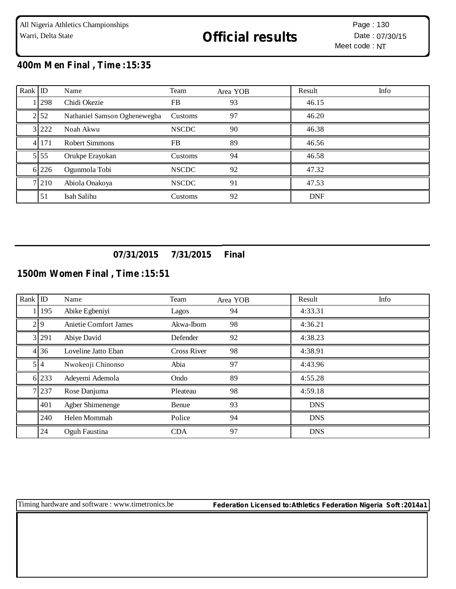## **400m Men Final , Time :15:35**

| Rank ID |           | Name                         | Team         | Area YOB | Result     | Info |
|---------|-----------|------------------------------|--------------|----------|------------|------|
|         | 298       | Chidi Okezie                 | FB           | 93       | 46.15      |      |
|         | 2 52      | Nathaniel Samson Oghenewegba | Customs      | 97       | 46.20      |      |
|         | 3 2 2 2 2 | Noah Akwu                    | <b>NSCDC</b> | 90       | 46.38      |      |
|         | 4 1 7 1   | <b>Robert Simmons</b>        | FB.          | 89       | 46.56      |      |
|         | 5 5 5     | Orukpe Erayokan              | Customs      | 94       | 46.58      |      |
|         | 6 2 2 6   | Ogunmola Tobi                | <b>NSCDC</b> | 92       | 47.32      |      |
|         | 7 2 1 0   | Abiola Onakoya               | <b>NSCDC</b> | 91       | 47.53      |      |
|         | 51        | Isah Salihu                  | Customs      | 92       | <b>DNF</b> |      |

## **07/31/2015 7/31/2015 Final**

## **1500m Women Final , Time :15:51**

| $Rank$ ID |            | Name                  | Team               | Area YOB | Result     | Info |
|-----------|------------|-----------------------|--------------------|----------|------------|------|
|           | 1 1 9 5    | Abike Egbeniyi        | Lagos              | 94       | 4:33.31    |      |
|           | 29         | Anietie Comfort James | Akwa-Ibom          | 98       | 4:36.21    |      |
|           | 3 291      | Abiye David           | Defender           | 92       | 4:38.23    |      |
|           | 4 3 6      | Loveline Jatto Eban   | <b>Cross River</b> | 98       | 4:38.91    |      |
|           | $5\vert 4$ | Nwokeoji Chinonso     | Abia               | 97       | 4:43.96    |      |
|           | 6 233      | Adeyemi Ademola       | Ondo               | 89       | 4:55.28    |      |
|           | 7 237      | Rose Danjuma          | Pleateau           | 98       | 4:59.18    |      |
|           | 401        | Agber Shimenenge      | Benue              | 93       | <b>DNS</b> |      |
|           | 240        | Helen Mommah          | Police             | 94       | <b>DNS</b> |      |
|           | 24         | Oguh Faustina         | <b>CDA</b>         | 97       | <b>DNS</b> |      |

Timing hardware and software : www.timetronics.be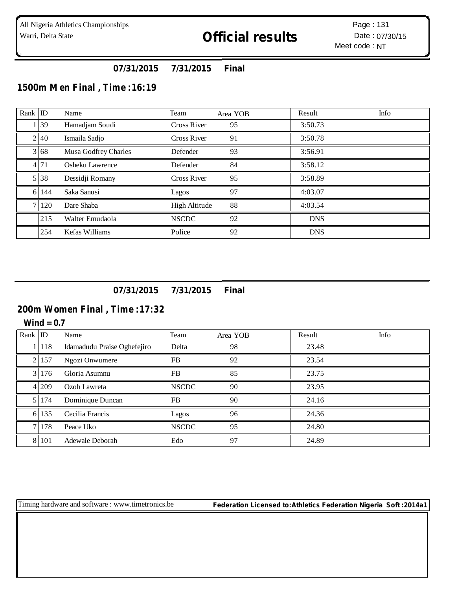## **07/31/2015 7/31/2015 Final**

## **1500m Men Final , Time :16:19**

| $Rank$ ID |         | Name                 | Team               | Area YOB | Result     | Info |
|-----------|---------|----------------------|--------------------|----------|------------|------|
|           | 1 39    | Hamadjam Soudi       | Cross River        | 95       | 3:50.73    |      |
|           | 2 4 0   | Ismaila Sadjo        | <b>Cross River</b> | 91       | 3:50.78    |      |
|           | 3 68    | Musa Godfrey Charles | Defender           | 93       | 3:56.91    |      |
|           | 4 71    | Osheku Lawrence      | Defender           | 84       | 3:58.12    |      |
|           | 5 38    | Dessidji Romany      | <b>Cross River</b> | 95       | 3:58.89    |      |
|           | 6 144   | Saka Sanusi          | Lagos              | 97       | 4:03.07    |      |
|           | 7 1 2 0 | Dare Shaba           | High Altitude      | 88       | 4:03.54    |      |
|           | 215     | Walter Emudaola      | <b>NSCDC</b>       | 92       | <b>DNS</b> |      |
|           | 254     | Kefas Williams       | Police             | 92       | <b>DNS</b> |      |

**07/31/2015 7/31/2015 Final**

### **200m Women Final , Time :17:32**

**Wind = 0.7**

| Rank ID |           | Name                        | Team         | Area YOB | Result | Info |
|---------|-----------|-----------------------------|--------------|----------|--------|------|
|         | 1   118   | Idamadudu Praise Oghefejiro | Delta        | 98       | 23.48  |      |
|         | 2 157     | Ngozi Onwumere              | <b>FB</b>    | 92       | 23.54  |      |
|         | 3 1 1 7 6 | Gloria Asumnu               | <b>FB</b>    | 85       | 23.75  |      |
|         | 4 209     | Ozoh Lawreta                | <b>NSCDC</b> | 90       | 23.95  |      |
|         | 5 1 7 4   | Dominique Duncan            | <b>FB</b>    | 90       | 24.16  |      |
|         | 6 135     | Cecilia Francis             | Lagos        | 96       | 24.36  |      |
|         | 7.178     | Peace Uko                   | <b>NSCDC</b> | 95       | 24.80  |      |
|         | 8 1 0 1   | Adewale Deborah             | Edo          | 97       | 24.89  |      |

Timing hardware and software : www.timetronics.be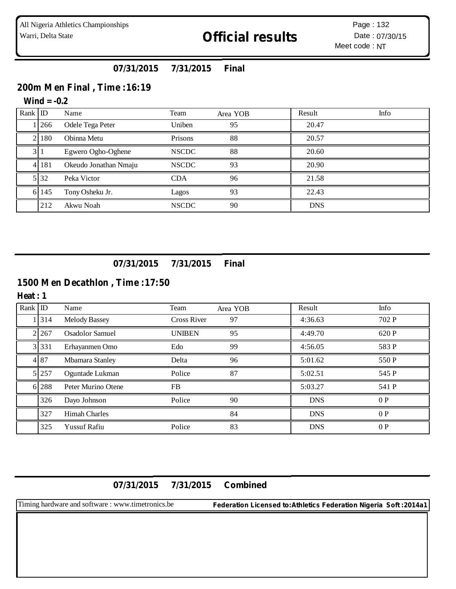## **07/31/2015 7/31/2015 Final**

## **200m Men Final , Time :16:19**

## **Wind = -0.2**

| Rank ID |      | Name                  | Team         | Area YOB | Result     | Info |
|---------|------|-----------------------|--------------|----------|------------|------|
|         | 266  | Odele Tega Peter      | Uniben       | 95       | 20.47      |      |
|         | 180  | Obinna Metu           | Prisons      | 88       | 20.57      |      |
|         |      | Egwero Ogho-Oghene    | <b>NSCDC</b> | 88       | 20.60      |      |
| 41      | 181  | Okeudo Jonathan Nmaju | <b>NSCDC</b> | 93       | 20.90      |      |
|         | 5 32 | Peka Victor           | <b>CDA</b>   | 96       | 21.58      |      |
| 61      | 145  | Tony Osheku Jr.       | Lagos        | 93       | 22.43      |      |
|         | 212  | Akwu Noah             | <b>NSCDC</b> | 90       | <b>DNS</b> |      |

## **07/31/2015 7/31/2015 Final**

# **1500 Men Decathlon , Time :17:50**

#### **Heat : 1**

| Rank ID |         | Name                   | Team               | Area YOB | Result     | Info  |
|---------|---------|------------------------|--------------------|----------|------------|-------|
|         | 314     | <b>Melody Bassey</b>   | <b>Cross River</b> | 97       | 4:36.63    | 702 P |
|         | 2 267   | <b>Osadolor Samuel</b> | <b>UNIBEN</b>      | 95       | 4:49.70    | 620 P |
|         | 3 3 3 1 | Erhayanmen Omo         | Edo                | 99       | 4:56.05    | 583 P |
|         | 4 87    | Mbamara Stanley        | Delta              | 96       | 5:01.62    | 550 P |
|         | 5 257   | Oguntade Lukman        | Police             | 87       | 5:02.51    | 545 P |
|         | 6 288   | Peter Murino Otene     | <b>FB</b>          |          | 5:03.27    | 541 P |
|         | 326     | Dayo Johnson           | Police             | 90       | <b>DNS</b> | 0P    |
|         | 327     | <b>Himah Charles</b>   |                    | 84       | <b>DNS</b> | 0P    |
|         | 325     | <b>Yussuf Rafiu</b>    | Police             | 83       | <b>DNS</b> | 0P    |

### **07/31/2015 7/31/2015 Combined**

Timing hardware and software : www.timetronics.be